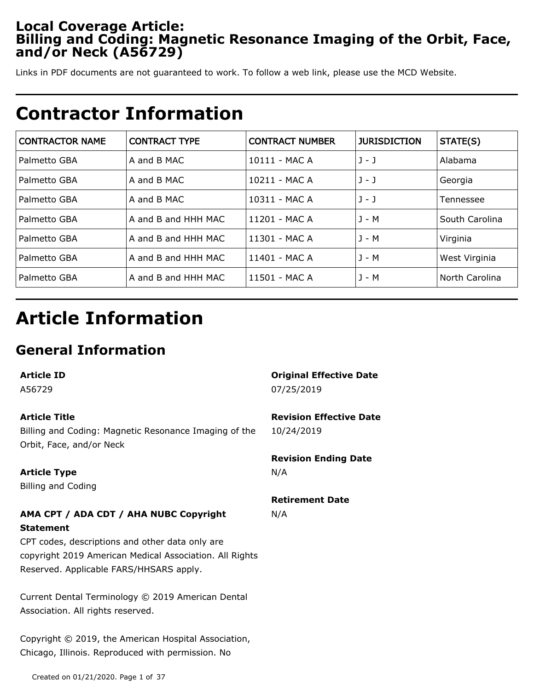## **Local Coverage Article: Billing and Coding: Magnetic Resonance Imaging of the Orbit, Face, and/or Neck (A56729)**

Links in PDF documents are not guaranteed to work. To follow a web link, please use the MCD Website.

## **Contractor Information**

| <b>CONTRACTOR NAME</b> | <b>CONTRACT TYPE</b> | <b>CONTRACT NUMBER</b> | <b>JURISDICTION</b> | STATE(S)       |
|------------------------|----------------------|------------------------|---------------------|----------------|
| Palmetto GBA           | A and B MAC          | 10111 - MAC A          | $J - J$             | Alabama        |
| Palmetto GBA           | A and B MAC          | 10211 - MAC A          | $1 - 1$             | Georgia        |
| Palmetto GBA           | A and B MAC          | 10311 - MAC A          | $J - J$             | Tennessee      |
| Palmetto GBA           | A and B and HHH MAC  | 11201 - MAC A          | J - M               | South Carolina |
| Palmetto GBA           | A and B and HHH MAC  | 11301 - MAC A          | J - M               | Virginia       |
| Palmetto GBA           | A and B and HHH MAC  | 11401 - MAC A          | J - M               | West Virginia  |
| Palmetto GBA           | A and B and HHH MAC  | 11501 - MAC A          | J - M               | North Carolina |

# **Article Information**

## **General Information**

| <b>Article ID</b>                                       | <b>Original Effective Date</b> |
|---------------------------------------------------------|--------------------------------|
| A56729                                                  | 07/25/2019                     |
| <b>Article Title</b>                                    | <b>Revision Effective Date</b> |
| Billing and Coding: Magnetic Resonance Imaging of the   | 10/24/2019                     |
| Orbit, Face, and/or Neck                                |                                |
|                                                         | <b>Revision Ending Date</b>    |
| <b>Article Type</b>                                     | N/A                            |
| <b>Billing and Coding</b>                               |                                |
|                                                         | <b>Retirement Date</b>         |
| AMA CPT / ADA CDT / AHA NUBC Copyright                  | N/A                            |
| <b>Statement</b>                                        |                                |
| CPT codes, descriptions and other data only are         |                                |
| copyright 2019 American Medical Association. All Rights |                                |
| Reserved. Applicable FARS/HHSARS apply.                 |                                |
|                                                         |                                |
| Current Dental Terminology © 2019 American Dental       |                                |
| Association. All rights reserved.                       |                                |
|                                                         |                                |
| Copyright © 2019, the American Hospital Association,    |                                |
| Chicago, Illinois. Reproduced with permission. No       |                                |

Created on 01/21/2020. Page 1 of 37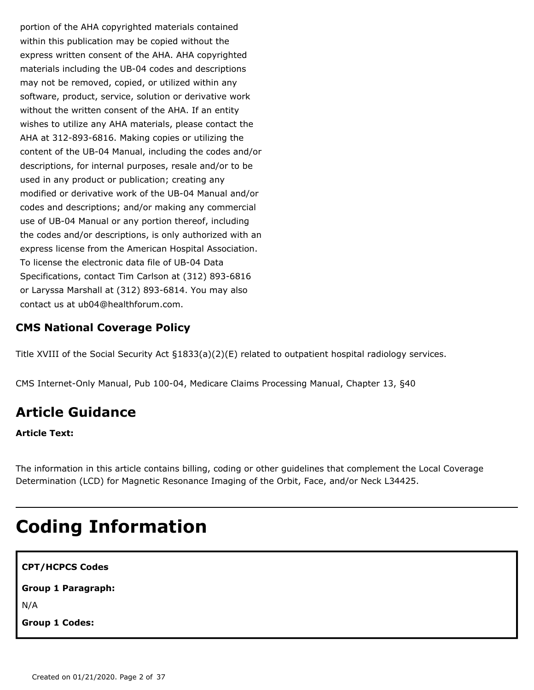portion of the AHA copyrighted materials contained within this publication may be copied without the express written consent of the AHA. AHA copyrighted materials including the UB-04 codes and descriptions may not be removed, copied, or utilized within any software, product, service, solution or derivative work without the written consent of the AHA. If an entity wishes to utilize any AHA materials, please contact the AHA at 312-893-6816. Making copies or utilizing the content of the UB-04 Manual, including the codes and/or descriptions, for internal purposes, resale and/or to be used in any product or publication; creating any modified or derivative work of the UB-04 Manual and/or codes and descriptions; and/or making any commercial use of UB-04 Manual or any portion thereof, including the codes and/or descriptions, is only authorized with an express license from the American Hospital Association. To license the electronic data file of UB-04 Data Specifications, contact Tim Carlson at (312) 893-6816 or Laryssa Marshall at (312) 893-6814. You may also contact us at ub04@healthforum.com.

### **CMS National Coverage Policy**

Title XVIII of the Social Security Act §1833(a)(2)(E) related to outpatient hospital radiology services.

CMS Internet-Only Manual, Pub 100-04, Medicare Claims Processing Manual, Chapter 13, §40

## **Article Guidance**

**Article Text:**

The information in this article contains billing, coding or other guidelines that complement the Local Coverage Determination (LCD) for Magnetic Resonance Imaging of the Orbit, Face, and/or Neck L34425.

# **Coding Information**

**CPT/HCPCS Codes Group 1 Paragraph:**

N/A

**Group 1 Codes:**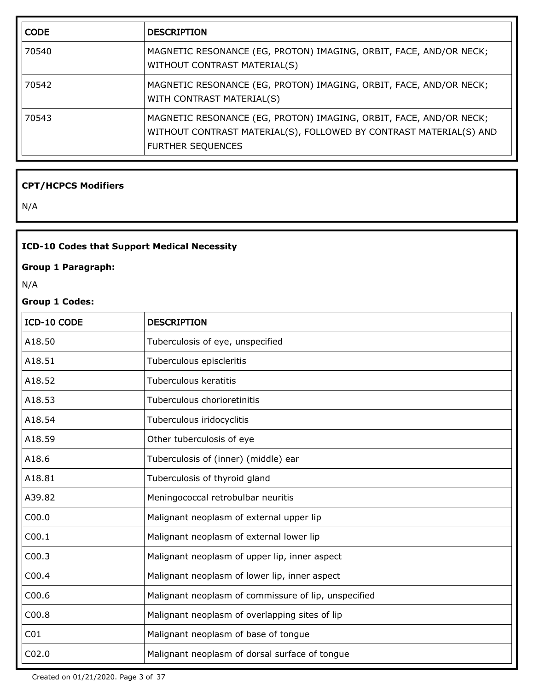| <b>CODE</b> | <b>DESCRIPTION</b>                                                                                                                                                   |
|-------------|----------------------------------------------------------------------------------------------------------------------------------------------------------------------|
| 70540       | MAGNETIC RESONANCE (EG, PROTON) IMAGING, ORBIT, FACE, AND/OR NECK;<br>WITHOUT CONTRAST MATERIAL(S)                                                                   |
| 70542       | MAGNETIC RESONANCE (EG, PROTON) IMAGING, ORBIT, FACE, AND/OR NECK;<br>WITH CONTRAST MATERIAL(S)                                                                      |
| 70543       | MAGNETIC RESONANCE (EG, PROTON) IMAGING, ORBIT, FACE, AND/OR NECK;<br>WITHOUT CONTRAST MATERIAL(S), FOLLOWED BY CONTRAST MATERIAL(S) AND<br><b>FURTHER SEQUENCES</b> |

### **CPT/HCPCS Modifiers**

N/A

### **ICD-10 Codes that Support Medical Necessity**

### **Group 1 Paragraph:**

N/A

### **Group 1 Codes:**

| ICD-10 CODE       | <b>DESCRIPTION</b>                                   |
|-------------------|------------------------------------------------------|
| A18.50            | Tuberculosis of eye, unspecified                     |
| A18.51            | Tuberculous episcleritis                             |
| A18.52            | Tuberculous keratitis                                |
| A18.53            | Tuberculous chorioretinitis                          |
| A18.54            | Tuberculous iridocyclitis                            |
| A18.59            | Other tuberculosis of eye                            |
| A18.6             | Tuberculosis of (inner) (middle) ear                 |
| A18.81            | Tuberculosis of thyroid gland                        |
| A39.82            | Meningococcal retrobulbar neuritis                   |
| C <sub>00.0</sub> | Malignant neoplasm of external upper lip             |
| CO <sub>0.1</sub> | Malignant neoplasm of external lower lip             |
| CO <sub>0.3</sub> | Malignant neoplasm of upper lip, inner aspect        |
| CO <sub>0.4</sub> | Malignant neoplasm of lower lip, inner aspect        |
| C <sub>00.6</sub> | Malignant neoplasm of commissure of lip, unspecified |
| C00.8             | Malignant neoplasm of overlapping sites of lip       |
| CO <sub>1</sub>   | Malignant neoplasm of base of tongue                 |
| CO <sub>2.0</sub> | Malignant neoplasm of dorsal surface of tongue       |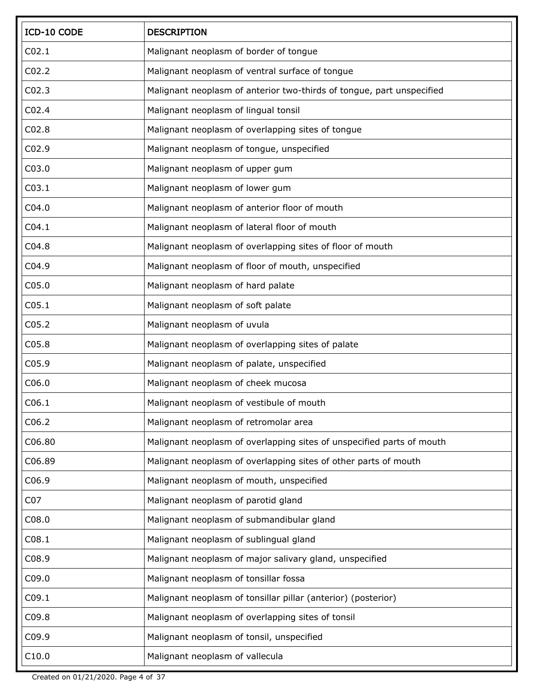| ICD-10 CODE       | <b>DESCRIPTION</b>                                                    |
|-------------------|-----------------------------------------------------------------------|
| CO <sub>2.1</sub> | Malignant neoplasm of border of tongue                                |
| CO <sub>2.2</sub> | Malignant neoplasm of ventral surface of tongue                       |
| CO <sub>2.3</sub> | Malignant neoplasm of anterior two-thirds of tongue, part unspecified |
| CO <sub>2.4</sub> | Malignant neoplasm of lingual tonsil                                  |
| CO <sub>2.8</sub> | Malignant neoplasm of overlapping sites of tongue                     |
| CO <sub>2.9</sub> | Malignant neoplasm of tongue, unspecified                             |
| C03.0             | Malignant neoplasm of upper gum                                       |
| CO <sub>3.1</sub> | Malignant neoplasm of lower gum                                       |
| CO4.0             | Malignant neoplasm of anterior floor of mouth                         |
| CO4.1             | Malignant neoplasm of lateral floor of mouth                          |
| CO4.8             | Malignant neoplasm of overlapping sites of floor of mouth             |
| C04.9             | Malignant neoplasm of floor of mouth, unspecified                     |
| CO <sub>5.0</sub> | Malignant neoplasm of hard palate                                     |
| C <sub>05.1</sub> | Malignant neoplasm of soft palate                                     |
| C <sub>05.2</sub> | Malignant neoplasm of uvula                                           |
| CO <sub>5.8</sub> | Malignant neoplasm of overlapping sites of palate                     |
| C05.9             | Malignant neoplasm of palate, unspecified                             |
| C <sub>06.0</sub> | Malignant neoplasm of cheek mucosa                                    |
| C <sub>06.1</sub> | Malignant neoplasm of vestibule of mouth                              |
| C <sub>06.2</sub> | Malignant neoplasm of retromolar area                                 |
| C06.80            | Malignant neoplasm of overlapping sites of unspecified parts of mouth |
| C06.89            | Malignant neoplasm of overlapping sites of other parts of mouth       |
| C06.9             | Malignant neoplasm of mouth, unspecified                              |
| CO <sub>7</sub>   | Malignant neoplasm of parotid gland                                   |
| C <sub>08.0</sub> | Malignant neoplasm of submandibular gland                             |
| CO8.1             | Malignant neoplasm of sublingual gland                                |
| C08.9             | Malignant neoplasm of major salivary gland, unspecified               |
| C09.0             | Malignant neoplasm of tonsillar fossa                                 |
| CO9.1             | Malignant neoplasm of tonsillar pillar (anterior) (posterior)         |
| C09.8             | Malignant neoplasm of overlapping sites of tonsil                     |
| C09.9             | Malignant neoplasm of tonsil, unspecified                             |
| C10.0             | Malignant neoplasm of vallecula                                       |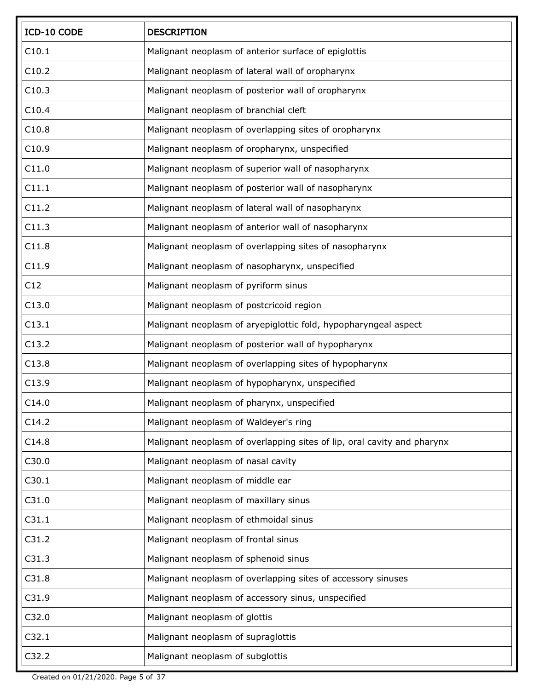| ICD-10 CODE | <b>DESCRIPTION</b>                                                      |
|-------------|-------------------------------------------------------------------------|
| C10.1       | Malignant neoplasm of anterior surface of epiglottis                    |
| C10.2       | Malignant neoplasm of lateral wall of oropharynx                        |
| C10.3       | Malignant neoplasm of posterior wall of oropharynx                      |
| C10.4       | Malignant neoplasm of branchial cleft                                   |
| C10.8       | Malignant neoplasm of overlapping sites of oropharynx                   |
| C10.9       | Malignant neoplasm of oropharynx, unspecified                           |
| C11.0       | Malignant neoplasm of superior wall of nasopharynx                      |
| C11.1       | Malignant neoplasm of posterior wall of nasopharynx                     |
| C11.2       | Malignant neoplasm of lateral wall of nasopharynx                       |
| C11.3       | Malignant neoplasm of anterior wall of nasopharynx                      |
| C11.8       | Malignant neoplasm of overlapping sites of nasopharynx                  |
| C11.9       | Malignant neoplasm of nasopharynx, unspecified                          |
| C12         | Malignant neoplasm of pyriform sinus                                    |
| C13.0       | Malignant neoplasm of postcricoid region                                |
| C13.1       | Malignant neoplasm of aryepiglottic fold, hypopharyngeal aspect         |
| C13.2       | Malignant neoplasm of posterior wall of hypopharynx                     |
| C13.8       | Malignant neoplasm of overlapping sites of hypopharynx                  |
| C13.9       | Malignant neoplasm of hypopharynx, unspecified                          |
| C14.0       | Malignant neoplasm of pharynx, unspecified                              |
| C14.2       | Malignant neoplasm of Waldeyer's ring                                   |
| C14.8       | Malignant neoplasm of overlapping sites of lip, oral cavity and pharynx |
| C30.0       | Malignant neoplasm of nasal cavity                                      |
| C30.1       | Malignant neoplasm of middle ear                                        |
| C31.0       | Malignant neoplasm of maxillary sinus                                   |
| C31.1       | Malignant neoplasm of ethmoidal sinus                                   |
| C31.2       | Malignant neoplasm of frontal sinus                                     |
| C31.3       | Malignant neoplasm of sphenoid sinus                                    |
| C31.8       | Malignant neoplasm of overlapping sites of accessory sinuses            |
| C31.9       | Malignant neoplasm of accessory sinus, unspecified                      |
| C32.0       | Malignant neoplasm of glottis                                           |
| C32.1       | Malignant neoplasm of supraglottis                                      |
| C32.2       | Malignant neoplasm of subglottis                                        |

Created on 01/21/2020. Page 5 of 37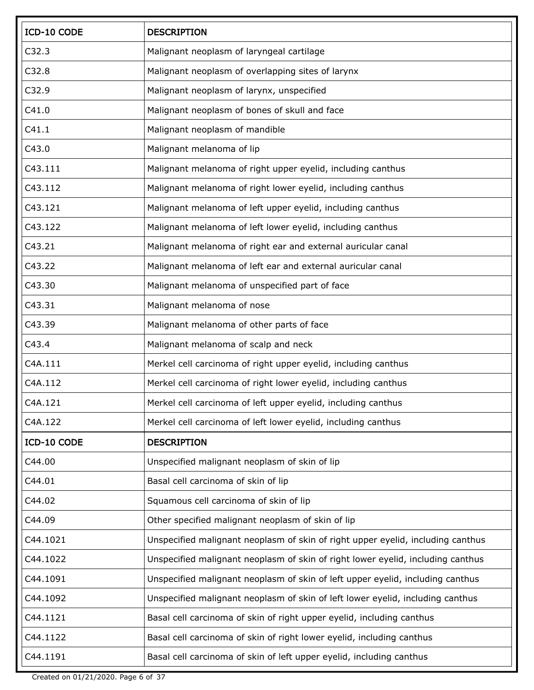| ICD-10 CODE | <b>DESCRIPTION</b>                                                              |
|-------------|---------------------------------------------------------------------------------|
| C32.3       | Malignant neoplasm of laryngeal cartilage                                       |
| C32.8       | Malignant neoplasm of overlapping sites of larynx                               |
| C32.9       | Malignant neoplasm of larynx, unspecified                                       |
| C41.0       | Malignant neoplasm of bones of skull and face                                   |
| C41.1       | Malignant neoplasm of mandible                                                  |
| C43.0       | Malignant melanoma of lip                                                       |
| C43.111     | Malignant melanoma of right upper eyelid, including canthus                     |
| C43.112     | Malignant melanoma of right lower eyelid, including canthus                     |
| C43.121     | Malignant melanoma of left upper eyelid, including canthus                      |
| C43.122     | Malignant melanoma of left lower eyelid, including canthus                      |
| C43.21      | Malignant melanoma of right ear and external auricular canal                    |
| C43.22      | Malignant melanoma of left ear and external auricular canal                     |
| C43.30      | Malignant melanoma of unspecified part of face                                  |
| C43.31      | Malignant melanoma of nose                                                      |
| C43.39      | Malignant melanoma of other parts of face                                       |
| C43.4       | Malignant melanoma of scalp and neck                                            |
| C4A.111     | Merkel cell carcinoma of right upper eyelid, including canthus                  |
| C4A.112     | Merkel cell carcinoma of right lower eyelid, including canthus                  |
| C4A.121     | Merkel cell carcinoma of left upper eyelid, including canthus                   |
| C4A.122     | Merkel cell carcinoma of left lower eyelid, including canthus                   |
| ICD-10 CODE | <b>DESCRIPTION</b>                                                              |
| C44.00      | Unspecified malignant neoplasm of skin of lip                                   |
| C44.01      | Basal cell carcinoma of skin of lip                                             |
| C44.02      | Squamous cell carcinoma of skin of lip                                          |
| C44.09      | Other specified malignant neoplasm of skin of lip                               |
| C44.1021    | Unspecified malignant neoplasm of skin of right upper eyelid, including canthus |
| C44.1022    | Unspecified malignant neoplasm of skin of right lower eyelid, including canthus |
| C44.1091    | Unspecified malignant neoplasm of skin of left upper eyelid, including canthus  |
| C44.1092    | Unspecified malignant neoplasm of skin of left lower eyelid, including canthus  |
| C44.1121    | Basal cell carcinoma of skin of right upper eyelid, including canthus           |
| C44.1122    | Basal cell carcinoma of skin of right lower eyelid, including canthus           |
| C44.1191    | Basal cell carcinoma of skin of left upper eyelid, including canthus            |

Created on 01/21/2020. Page 6 of 37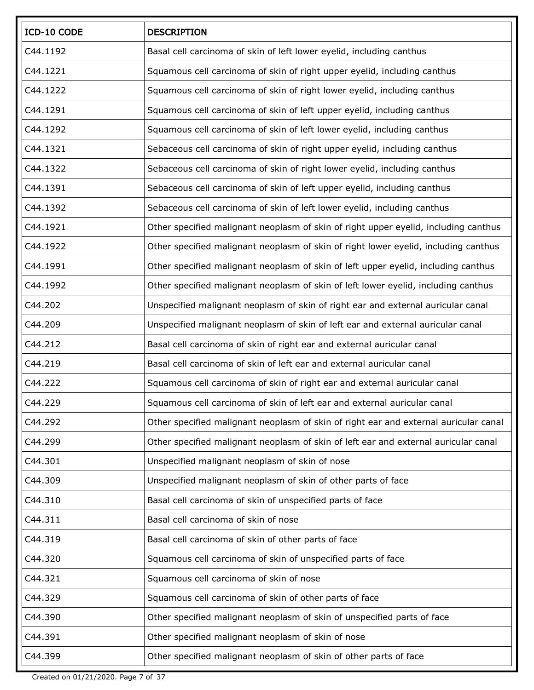| ICD-10 CODE | <b>DESCRIPTION</b>                                                                   |
|-------------|--------------------------------------------------------------------------------------|
| C44.1192    | Basal cell carcinoma of skin of left lower eyelid, including canthus                 |
| C44.1221    | Squamous cell carcinoma of skin of right upper eyelid, including canthus             |
| C44.1222    | Squamous cell carcinoma of skin of right lower eyelid, including canthus             |
| C44.1291    | Squamous cell carcinoma of skin of left upper eyelid, including canthus              |
| C44.1292    | Squamous cell carcinoma of skin of left lower eyelid, including canthus              |
| C44.1321    | Sebaceous cell carcinoma of skin of right upper eyelid, including canthus            |
| C44.1322    | Sebaceous cell carcinoma of skin of right lower eyelid, including canthus            |
| C44.1391    | Sebaceous cell carcinoma of skin of left upper eyelid, including canthus             |
| C44.1392    | Sebaceous cell carcinoma of skin of left lower eyelid, including canthus             |
| C44.1921    | Other specified malignant neoplasm of skin of right upper eyelid, including canthus  |
| C44.1922    | Other specified malignant neoplasm of skin of right lower eyelid, including canthus  |
| C44.1991    | Other specified malignant neoplasm of skin of left upper eyelid, including canthus   |
| C44.1992    | Other specified malignant neoplasm of skin of left lower eyelid, including canthus   |
| C44.202     | Unspecified malignant neoplasm of skin of right ear and external auricular canal     |
| C44.209     | Unspecified malignant neoplasm of skin of left ear and external auricular canal      |
| C44.212     | Basal cell carcinoma of skin of right ear and external auricular canal               |
| C44.219     | Basal cell carcinoma of skin of left ear and external auricular canal                |
| C44.222     | Squamous cell carcinoma of skin of right ear and external auricular canal            |
| C44.229     | Squamous cell carcinoma of skin of left ear and external auricular canal             |
| C44.292     | Other specified malignant neoplasm of skin of right ear and external auricular canal |
| C44.299     | Other specified malignant neoplasm of skin of left ear and external auricular canal  |
| C44.301     | Unspecified malignant neoplasm of skin of nose                                       |
| C44.309     | Unspecified malignant neoplasm of skin of other parts of face                        |
| C44.310     | Basal cell carcinoma of skin of unspecified parts of face                            |
| C44.311     | Basal cell carcinoma of skin of nose                                                 |
| C44.319     | Basal cell carcinoma of skin of other parts of face                                  |
| C44.320     | Squamous cell carcinoma of skin of unspecified parts of face                         |
| C44.321     | Squamous cell carcinoma of skin of nose                                              |
| C44.329     | Squamous cell carcinoma of skin of other parts of face                               |
| C44.390     | Other specified malignant neoplasm of skin of unspecified parts of face              |
| C44.391     | Other specified malignant neoplasm of skin of nose                                   |
| C44.399     | Other specified malignant neoplasm of skin of other parts of face                    |

Created on 01/21/2020. Page 7 of 37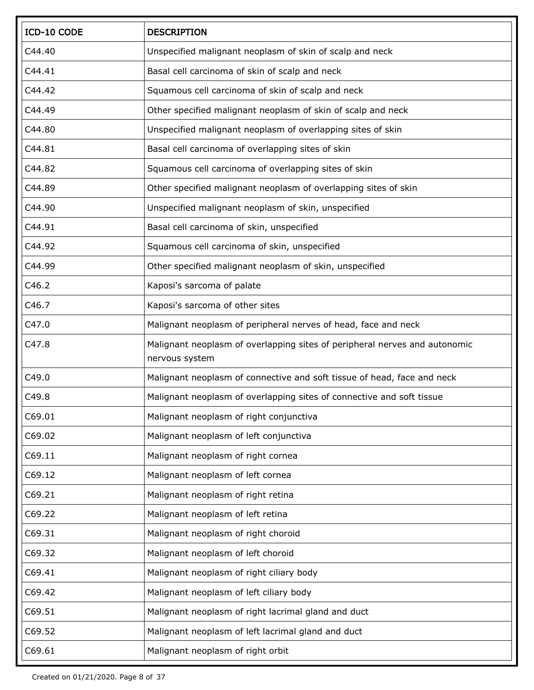| ICD-10 CODE | <b>DESCRIPTION</b>                                                                           |
|-------------|----------------------------------------------------------------------------------------------|
| C44.40      | Unspecified malignant neoplasm of skin of scalp and neck                                     |
| C44.41      | Basal cell carcinoma of skin of scalp and neck                                               |
| C44.42      | Squamous cell carcinoma of skin of scalp and neck                                            |
| C44.49      | Other specified malignant neoplasm of skin of scalp and neck                                 |
| C44.80      | Unspecified malignant neoplasm of overlapping sites of skin                                  |
| C44.81      | Basal cell carcinoma of overlapping sites of skin                                            |
| C44.82      | Squamous cell carcinoma of overlapping sites of skin                                         |
| C44.89      | Other specified malignant neoplasm of overlapping sites of skin                              |
| C44.90      | Unspecified malignant neoplasm of skin, unspecified                                          |
| C44.91      | Basal cell carcinoma of skin, unspecified                                                    |
| C44.92      | Squamous cell carcinoma of skin, unspecified                                                 |
| C44.99      | Other specified malignant neoplasm of skin, unspecified                                      |
| C46.2       | Kaposi's sarcoma of palate                                                                   |
| C46.7       | Kaposi's sarcoma of other sites                                                              |
| C47.0       | Malignant neoplasm of peripheral nerves of head, face and neck                               |
| C47.8       | Malignant neoplasm of overlapping sites of peripheral nerves and autonomic<br>nervous system |
| C49.0       | Malignant neoplasm of connective and soft tissue of head, face and neck                      |
| C49.8       | Malignant neoplasm of overlapping sites of connective and soft tissue                        |
| C69.01      | Malignant neoplasm of right conjunctiva                                                      |
| C69.02      | Malignant neoplasm of left conjunctiva                                                       |
| C69.11      | Malignant neoplasm of right cornea                                                           |
| C69.12      | Malignant neoplasm of left cornea                                                            |
| C69.21      | Malignant neoplasm of right retina                                                           |
| C69.22      | Malignant neoplasm of left retina                                                            |
| C69.31      | Malignant neoplasm of right choroid                                                          |
| C69.32      | Malignant neoplasm of left choroid                                                           |
| C69.41      | Malignant neoplasm of right ciliary body                                                     |
| C69.42      | Malignant neoplasm of left ciliary body                                                      |
| C69.51      | Malignant neoplasm of right lacrimal gland and duct                                          |
| C69.52      | Malignant neoplasm of left lacrimal gland and duct                                           |
| C69.61      | Malignant neoplasm of right orbit                                                            |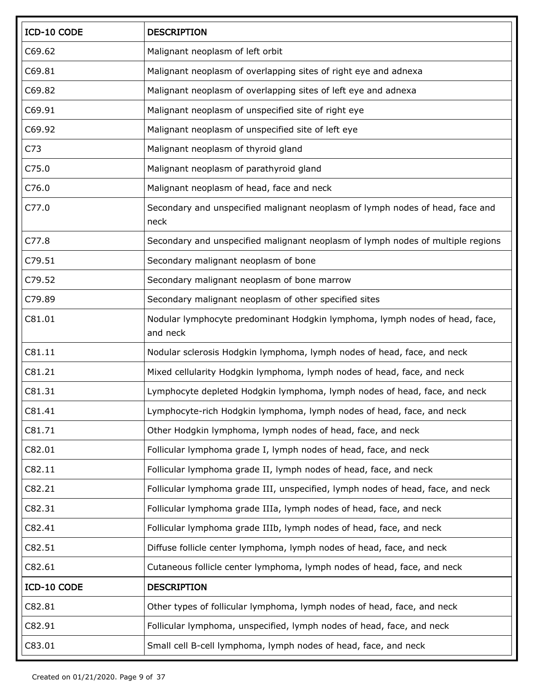| ICD-10 CODE     | <b>DESCRIPTION</b>                                                                      |  |
|-----------------|-----------------------------------------------------------------------------------------|--|
| C69.62          | Malignant neoplasm of left orbit                                                        |  |
| C69.81          | Malignant neoplasm of overlapping sites of right eye and adnexa                         |  |
| C69.82          | Malignant neoplasm of overlapping sites of left eye and adnexa                          |  |
| C69.91          | Malignant neoplasm of unspecified site of right eye                                     |  |
| C69.92          | Malignant neoplasm of unspecified site of left eye                                      |  |
| C <sub>73</sub> | Malignant neoplasm of thyroid gland                                                     |  |
| C75.0           | Malignant neoplasm of parathyroid gland                                                 |  |
| C76.0           | Malignant neoplasm of head, face and neck                                               |  |
| C77.0           | Secondary and unspecified malignant neoplasm of lymph nodes of head, face and<br>neck   |  |
| C77.8           | Secondary and unspecified malignant neoplasm of lymph nodes of multiple regions         |  |
| C79.51          | Secondary malignant neoplasm of bone                                                    |  |
| C79.52          | Secondary malignant neoplasm of bone marrow                                             |  |
| C79.89          | Secondary malignant neoplasm of other specified sites                                   |  |
| C81.01          | Nodular lymphocyte predominant Hodgkin lymphoma, lymph nodes of head, face,<br>and neck |  |
| C81.11          | Nodular sclerosis Hodgkin lymphoma, lymph nodes of head, face, and neck                 |  |
| C81.21          | Mixed cellularity Hodgkin lymphoma, lymph nodes of head, face, and neck                 |  |
| C81.31          | Lymphocyte depleted Hodgkin lymphoma, lymph nodes of head, face, and neck               |  |
| C81.41          | Lymphocyte-rich Hodgkin lymphoma, lymph nodes of head, face, and neck                   |  |
| C81.71          | Other Hodgkin lymphoma, lymph nodes of head, face, and neck                             |  |
| C82.01          | Follicular lymphoma grade I, lymph nodes of head, face, and neck                        |  |
| C82.11          | Follicular lymphoma grade II, lymph nodes of head, face, and neck                       |  |
| C82.21          | Follicular lymphoma grade III, unspecified, lymph nodes of head, face, and neck         |  |
| C82.31          | Follicular lymphoma grade IIIa, lymph nodes of head, face, and neck                     |  |
| C82.41          | Follicular lymphoma grade IIIb, lymph nodes of head, face, and neck                     |  |
| C82.51          | Diffuse follicle center lymphoma, lymph nodes of head, face, and neck                   |  |
| C82.61          | Cutaneous follicle center lymphoma, lymph nodes of head, face, and neck                 |  |
| ICD-10 CODE     | <b>DESCRIPTION</b>                                                                      |  |
| C82.81          | Other types of follicular lymphoma, lymph nodes of head, face, and neck                 |  |
| C82.91          | Follicular lymphoma, unspecified, lymph nodes of head, face, and neck                   |  |
| C83.01          | Small cell B-cell lymphoma, lymph nodes of head, face, and neck                         |  |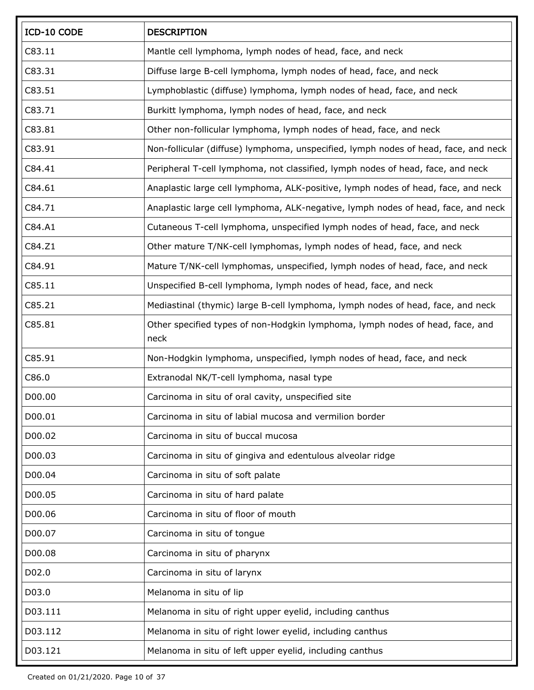| ICD-10 CODE | <b>DESCRIPTION</b>                                                                    |
|-------------|---------------------------------------------------------------------------------------|
| C83.11      | Mantle cell lymphoma, lymph nodes of head, face, and neck                             |
| C83.31      | Diffuse large B-cell lymphoma, lymph nodes of head, face, and neck                    |
| C83.51      | Lymphoblastic (diffuse) lymphoma, lymph nodes of head, face, and neck                 |
| C83.71      | Burkitt lymphoma, lymph nodes of head, face, and neck                                 |
| C83.81      | Other non-follicular lymphoma, lymph nodes of head, face, and neck                    |
| C83.91      | Non-follicular (diffuse) lymphoma, unspecified, lymph nodes of head, face, and neck   |
| C84.41      | Peripheral T-cell lymphoma, not classified, lymph nodes of head, face, and neck       |
| C84.61      | Anaplastic large cell lymphoma, ALK-positive, lymph nodes of head, face, and neck     |
| C84.71      | Anaplastic large cell lymphoma, ALK-negative, lymph nodes of head, face, and neck     |
| C84.A1      | Cutaneous T-cell lymphoma, unspecified lymph nodes of head, face, and neck            |
| C84.Z1      | Other mature T/NK-cell lymphomas, lymph nodes of head, face, and neck                 |
| C84.91      | Mature T/NK-cell lymphomas, unspecified, lymph nodes of head, face, and neck          |
| C85.11      | Unspecified B-cell lymphoma, lymph nodes of head, face, and neck                      |
| C85.21      | Mediastinal (thymic) large B-cell lymphoma, lymph nodes of head, face, and neck       |
| C85.81      | Other specified types of non-Hodgkin lymphoma, lymph nodes of head, face, and<br>neck |
| C85.91      | Non-Hodgkin lymphoma, unspecified, lymph nodes of head, face, and neck                |
| C86.0       | Extranodal NK/T-cell lymphoma, nasal type                                             |
| D00.00      | Carcinoma in situ of oral cavity, unspecified site                                    |
| D00.01      | Carcinoma in situ of labial mucosa and vermilion border                               |
| D00.02      | Carcinoma in situ of buccal mucosa                                                    |
| D00.03      | Carcinoma in situ of gingiva and edentulous alveolar ridge                            |
| D00.04      | Carcinoma in situ of soft palate                                                      |
| D00.05      | Carcinoma in situ of hard palate                                                      |
| D00.06      | Carcinoma in situ of floor of mouth                                                   |
| D00.07      | Carcinoma in situ of tongue                                                           |
| D00.08      | Carcinoma in situ of pharynx                                                          |
| D02.0       | Carcinoma in situ of larynx                                                           |
| D03.0       | Melanoma in situ of lip                                                               |
| D03.111     | Melanoma in situ of right upper eyelid, including canthus                             |
| D03.112     | Melanoma in situ of right lower eyelid, including canthus                             |
| D03.121     | Melanoma in situ of left upper eyelid, including canthus                              |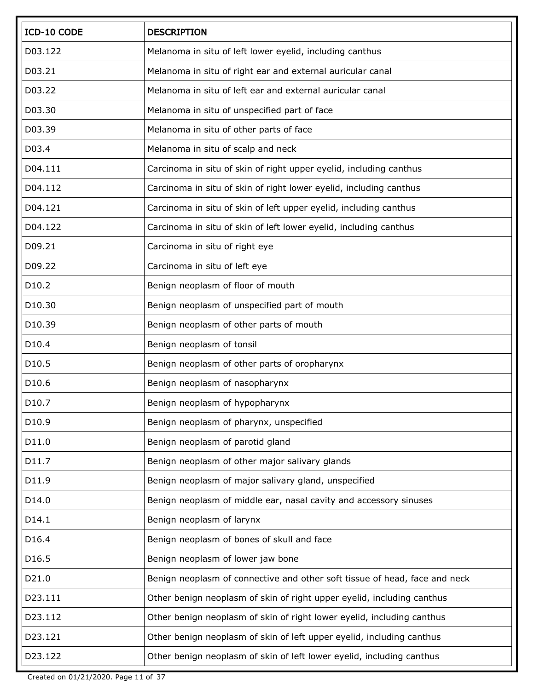| ICD-10 CODE | <b>DESCRIPTION</b>                                                         |
|-------------|----------------------------------------------------------------------------|
| D03.122     | Melanoma in situ of left lower eyelid, including canthus                   |
| D03.21      | Melanoma in situ of right ear and external auricular canal                 |
| D03.22      | Melanoma in situ of left ear and external auricular canal                  |
| D03.30      | Melanoma in situ of unspecified part of face                               |
| D03.39      | Melanoma in situ of other parts of face                                    |
| D03.4       | Melanoma in situ of scalp and neck                                         |
| D04.111     | Carcinoma in situ of skin of right upper eyelid, including canthus         |
| D04.112     | Carcinoma in situ of skin of right lower eyelid, including canthus         |
| D04.121     | Carcinoma in situ of skin of left upper eyelid, including canthus          |
| D04.122     | Carcinoma in situ of skin of left lower eyelid, including canthus          |
| D09.21      | Carcinoma in situ of right eye                                             |
| D09.22      | Carcinoma in situ of left eye                                              |
| D10.2       | Benign neoplasm of floor of mouth                                          |
| D10.30      | Benign neoplasm of unspecified part of mouth                               |
| D10.39      | Benign neoplasm of other parts of mouth                                    |
| D10.4       | Benign neoplasm of tonsil                                                  |
| D10.5       | Benign neoplasm of other parts of oropharynx                               |
| D10.6       | Benign neoplasm of nasopharynx                                             |
| D10.7       | Benign neoplasm of hypopharynx                                             |
| D10.9       | Benign neoplasm of pharynx, unspecified                                    |
| D11.0       | Benign neoplasm of parotid gland                                           |
| D11.7       | Benign neoplasm of other major salivary glands                             |
| D11.9       | Benign neoplasm of major salivary gland, unspecified                       |
| D14.0       | Benign neoplasm of middle ear, nasal cavity and accessory sinuses          |
| D14.1       | Benign neoplasm of larynx                                                  |
| D16.4       | Benign neoplasm of bones of skull and face                                 |
| D16.5       | Benign neoplasm of lower jaw bone                                          |
| D21.0       | Benign neoplasm of connective and other soft tissue of head, face and neck |
| D23.111     | Other benign neoplasm of skin of right upper eyelid, including canthus     |
| D23.112     | Other benign neoplasm of skin of right lower eyelid, including canthus     |
| D23.121     | Other benign neoplasm of skin of left upper eyelid, including canthus      |
| D23.122     | Other benign neoplasm of skin of left lower eyelid, including canthus      |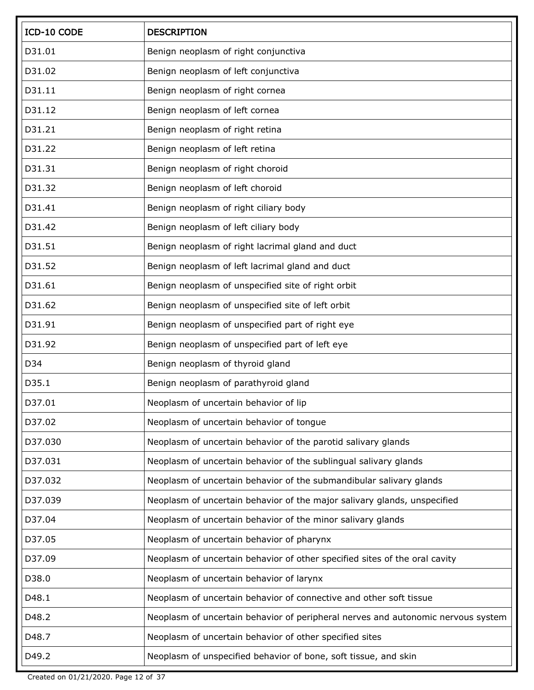| ICD-10 CODE | <b>DESCRIPTION</b>                                                               |
|-------------|----------------------------------------------------------------------------------|
| D31.01      | Benign neoplasm of right conjunctiva                                             |
| D31.02      | Benign neoplasm of left conjunctiva                                              |
| D31.11      | Benign neoplasm of right cornea                                                  |
| D31.12      | Benign neoplasm of left cornea                                                   |
| D31.21      | Benign neoplasm of right retina                                                  |
| D31.22      | Benign neoplasm of left retina                                                   |
| D31.31      | Benign neoplasm of right choroid                                                 |
| D31.32      | Benign neoplasm of left choroid                                                  |
| D31.41      | Benign neoplasm of right ciliary body                                            |
| D31.42      | Benign neoplasm of left ciliary body                                             |
| D31.51      | Benign neoplasm of right lacrimal gland and duct                                 |
| D31.52      | Benign neoplasm of left lacrimal gland and duct                                  |
| D31.61      | Benign neoplasm of unspecified site of right orbit                               |
| D31.62      | Benign neoplasm of unspecified site of left orbit                                |
| D31.91      | Benign neoplasm of unspecified part of right eye                                 |
| D31.92      | Benign neoplasm of unspecified part of left eye                                  |
| D34         | Benign neoplasm of thyroid gland                                                 |
| D35.1       | Benign neoplasm of parathyroid gland                                             |
| D37.01      | Neoplasm of uncertain behavior of lip                                            |
| D37.02      | Neoplasm of uncertain behavior of tongue                                         |
| D37.030     | Neoplasm of uncertain behavior of the parotid salivary glands                    |
| D37.031     | Neoplasm of uncertain behavior of the sublingual salivary glands                 |
| D37.032     | Neoplasm of uncertain behavior of the submandibular salivary glands              |
| D37.039     | Neoplasm of uncertain behavior of the major salivary glands, unspecified         |
| D37.04      | Neoplasm of uncertain behavior of the minor salivary glands                      |
| D37.05      | Neoplasm of uncertain behavior of pharynx                                        |
| D37.09      | Neoplasm of uncertain behavior of other specified sites of the oral cavity       |
| D38.0       | Neoplasm of uncertain behavior of larynx                                         |
| D48.1       | Neoplasm of uncertain behavior of connective and other soft tissue               |
| D48.2       | Neoplasm of uncertain behavior of peripheral nerves and autonomic nervous system |
| D48.7       | Neoplasm of uncertain behavior of other specified sites                          |
| D49.2       | Neoplasm of unspecified behavior of bone, soft tissue, and skin                  |

Created on 01/21/2020. Page 12 of 37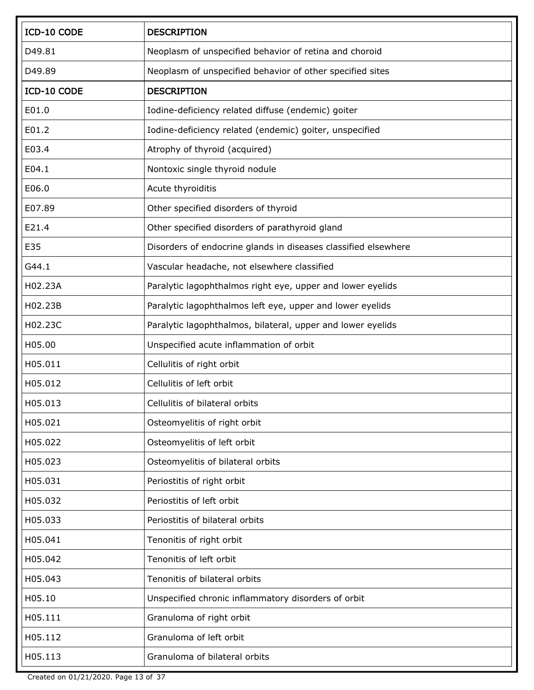| ICD-10 CODE | <b>DESCRIPTION</b>                                             |
|-------------|----------------------------------------------------------------|
| D49.81      | Neoplasm of unspecified behavior of retina and choroid         |
| D49.89      | Neoplasm of unspecified behavior of other specified sites      |
| ICD-10 CODE | <b>DESCRIPTION</b>                                             |
| E01.0       | Iodine-deficiency related diffuse (endemic) goiter             |
| E01.2       | Iodine-deficiency related (endemic) goiter, unspecified        |
| E03.4       | Atrophy of thyroid (acquired)                                  |
| E04.1       | Nontoxic single thyroid nodule                                 |
| E06.0       | Acute thyroiditis                                              |
| E07.89      | Other specified disorders of thyroid                           |
| E21.4       | Other specified disorders of parathyroid gland                 |
| E35         | Disorders of endocrine glands in diseases classified elsewhere |
| G44.1       | Vascular headache, not elsewhere classified                    |
| H02.23A     | Paralytic lagophthalmos right eye, upper and lower eyelids     |
| H02.23B     | Paralytic lagophthalmos left eye, upper and lower eyelids      |
| H02.23C     | Paralytic lagophthalmos, bilateral, upper and lower eyelids    |
| H05.00      | Unspecified acute inflammation of orbit                        |
| H05.011     | Cellulitis of right orbit                                      |
| H05.012     | Cellulitis of left orbit                                       |
| H05.013     | Cellulitis of bilateral orbits                                 |
| H05.021     | Osteomyelitis of right orbit                                   |
| H05.022     | Osteomyelitis of left orbit                                    |
| H05.023     | Osteomyelitis of bilateral orbits                              |
| H05.031     | Periostitis of right orbit                                     |
| H05.032     | Periostitis of left orbit                                      |
| H05.033     | Periostitis of bilateral orbits                                |
| H05.041     | Tenonitis of right orbit                                       |
| H05.042     | Tenonitis of left orbit                                        |
| H05.043     | Tenonitis of bilateral orbits                                  |
| H05.10      | Unspecified chronic inflammatory disorders of orbit            |
| H05.111     | Granuloma of right orbit                                       |
| H05.112     | Granuloma of left orbit                                        |
| H05.113     | Granuloma of bilateral orbits                                  |

Created on 01/21/2020. Page 13 of 37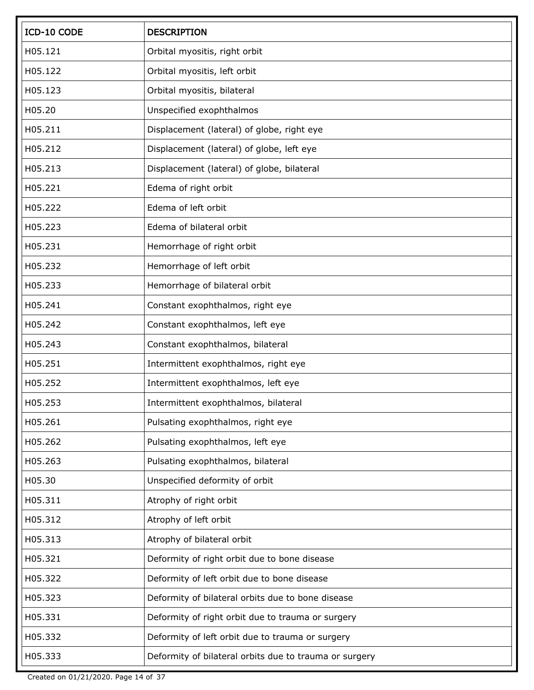| ICD-10 CODE | <b>DESCRIPTION</b>                                     |
|-------------|--------------------------------------------------------|
| H05.121     | Orbital myositis, right orbit                          |
| H05.122     | Orbital myositis, left orbit                           |
| H05.123     | Orbital myositis, bilateral                            |
| H05.20      | Unspecified exophthalmos                               |
| H05.211     | Displacement (lateral) of globe, right eye             |
| H05.212     | Displacement (lateral) of globe, left eye              |
| H05.213     | Displacement (lateral) of globe, bilateral             |
| H05.221     | Edema of right orbit                                   |
| H05.222     | Edema of left orbit                                    |
| H05.223     | Edema of bilateral orbit                               |
| H05.231     | Hemorrhage of right orbit                              |
| H05.232     | Hemorrhage of left orbit                               |
| H05.233     | Hemorrhage of bilateral orbit                          |
| H05.241     | Constant exophthalmos, right eye                       |
| H05.242     | Constant exophthalmos, left eye                        |
| H05.243     | Constant exophthalmos, bilateral                       |
| H05.251     | Intermittent exophthalmos, right eye                   |
| H05.252     | Intermittent exophthalmos, left eye                    |
| H05.253     | Intermittent exophthalmos, bilateral                   |
| H05.261     | Pulsating exophthalmos, right eye                      |
| H05.262     | Pulsating exophthalmos, left eye                       |
| H05.263     | Pulsating exophthalmos, bilateral                      |
| H05.30      | Unspecified deformity of orbit                         |
| H05.311     | Atrophy of right orbit                                 |
| H05.312     | Atrophy of left orbit                                  |
| H05.313     | Atrophy of bilateral orbit                             |
| H05.321     | Deformity of right orbit due to bone disease           |
| H05.322     | Deformity of left orbit due to bone disease            |
| H05.323     | Deformity of bilateral orbits due to bone disease      |
| H05.331     | Deformity of right orbit due to trauma or surgery      |
| H05.332     | Deformity of left orbit due to trauma or surgery       |
| H05.333     | Deformity of bilateral orbits due to trauma or surgery |

Created on 01/21/2020. Page 14 of 37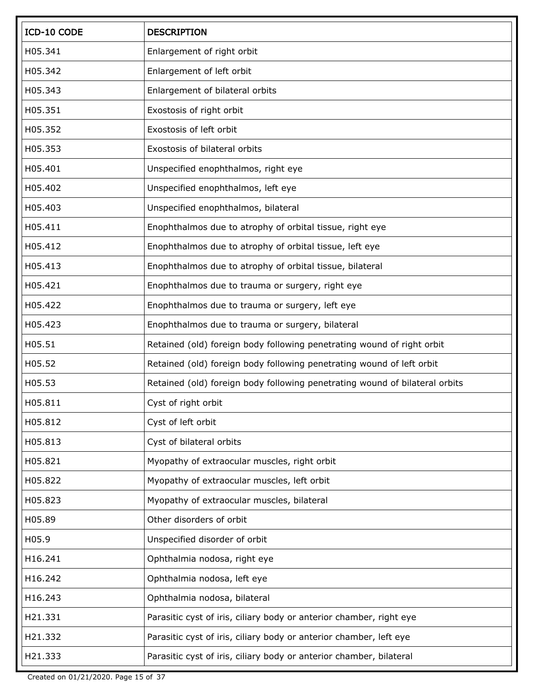| ICD-10 CODE | <b>DESCRIPTION</b>                                                          |
|-------------|-----------------------------------------------------------------------------|
| H05.341     | Enlargement of right orbit                                                  |
| H05.342     | Enlargement of left orbit                                                   |
| H05.343     | Enlargement of bilateral orbits                                             |
| H05.351     | Exostosis of right orbit                                                    |
| H05.352     | Exostosis of left orbit                                                     |
| H05.353     | Exostosis of bilateral orbits                                               |
| H05.401     | Unspecified enophthalmos, right eye                                         |
| H05.402     | Unspecified enophthalmos, left eye                                          |
| H05.403     | Unspecified enophthalmos, bilateral                                         |
| H05.411     | Enophthalmos due to atrophy of orbital tissue, right eye                    |
| H05.412     | Enophthalmos due to atrophy of orbital tissue, left eye                     |
| H05.413     | Enophthalmos due to atrophy of orbital tissue, bilateral                    |
| H05.421     | Enophthalmos due to trauma or surgery, right eye                            |
| H05.422     | Enophthalmos due to trauma or surgery, left eye                             |
| H05.423     | Enophthalmos due to trauma or surgery, bilateral                            |
| H05.51      | Retained (old) foreign body following penetrating wound of right orbit      |
| H05.52      | Retained (old) foreign body following penetrating wound of left orbit       |
| H05.53      | Retained (old) foreign body following penetrating wound of bilateral orbits |
| H05.811     | Cyst of right orbit                                                         |
| H05.812     | Cyst of left orbit                                                          |
| H05.813     | Cyst of bilateral orbits                                                    |
| H05.821     | Myopathy of extraocular muscles, right orbit                                |
| H05.822     | Myopathy of extraocular muscles, left orbit                                 |
| H05.823     | Myopathy of extraocular muscles, bilateral                                  |
| H05.89      | Other disorders of orbit                                                    |
| H05.9       | Unspecified disorder of orbit                                               |
| H16.241     | Ophthalmia nodosa, right eye                                                |
| H16.242     | Ophthalmia nodosa, left eye                                                 |
| H16.243     | Ophthalmia nodosa, bilateral                                                |
| H21.331     | Parasitic cyst of iris, ciliary body or anterior chamber, right eye         |
| H21.332     | Parasitic cyst of iris, ciliary body or anterior chamber, left eye          |
| H21.333     | Parasitic cyst of iris, ciliary body or anterior chamber, bilateral         |

Created on 01/21/2020. Page 15 of 37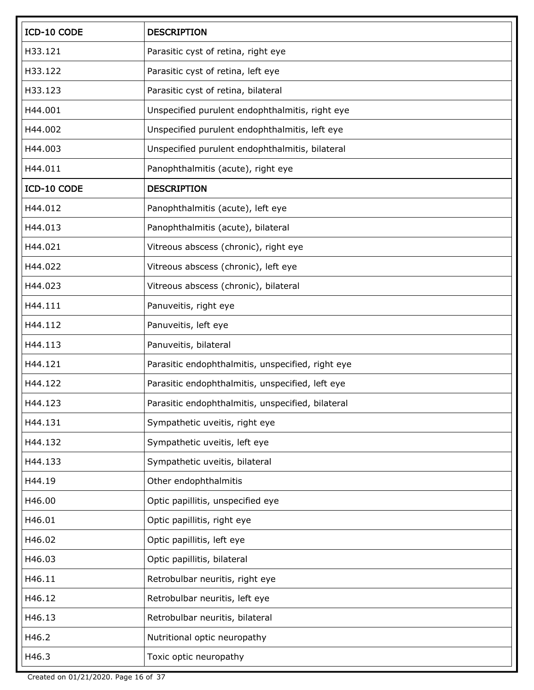| ICD-10 CODE | <b>DESCRIPTION</b>                                |
|-------------|---------------------------------------------------|
| H33.121     | Parasitic cyst of retina, right eye               |
| H33.122     | Parasitic cyst of retina, left eye                |
| H33.123     | Parasitic cyst of retina, bilateral               |
| H44.001     | Unspecified purulent endophthalmitis, right eye   |
| H44.002     | Unspecified purulent endophthalmitis, left eye    |
| H44.003     | Unspecified purulent endophthalmitis, bilateral   |
| H44.011     | Panophthalmitis (acute), right eye                |
| ICD-10 CODE | <b>DESCRIPTION</b>                                |
| H44.012     | Panophthalmitis (acute), left eye                 |
| H44.013     | Panophthalmitis (acute), bilateral                |
| H44.021     | Vitreous abscess (chronic), right eye             |
| H44.022     | Vitreous abscess (chronic), left eye              |
| H44.023     | Vitreous abscess (chronic), bilateral             |
| H44.111     | Panuveitis, right eye                             |
| H44.112     | Panuveitis, left eye                              |
| H44.113     | Panuveitis, bilateral                             |
| H44.121     | Parasitic endophthalmitis, unspecified, right eye |
| H44.122     | Parasitic endophthalmitis, unspecified, left eye  |
| H44.123     | Parasitic endophthalmitis, unspecified, bilateral |
| H44.131     | Sympathetic uveitis, right eye                    |
| H44.132     | Sympathetic uveitis, left eye                     |
| H44.133     | Sympathetic uveitis, bilateral                    |
| H44.19      | Other endophthalmitis                             |
| H46.00      | Optic papillitis, unspecified eye                 |
| H46.01      | Optic papillitis, right eye                       |
| H46.02      | Optic papillitis, left eye                        |
| H46.03      | Optic papillitis, bilateral                       |
| H46.11      | Retrobulbar neuritis, right eye                   |
| H46.12      | Retrobulbar neuritis, left eye                    |
| H46.13      | Retrobulbar neuritis, bilateral                   |
| H46.2       | Nutritional optic neuropathy                      |
| H46.3       | Toxic optic neuropathy                            |

Created on 01/21/2020. Page 16 of 37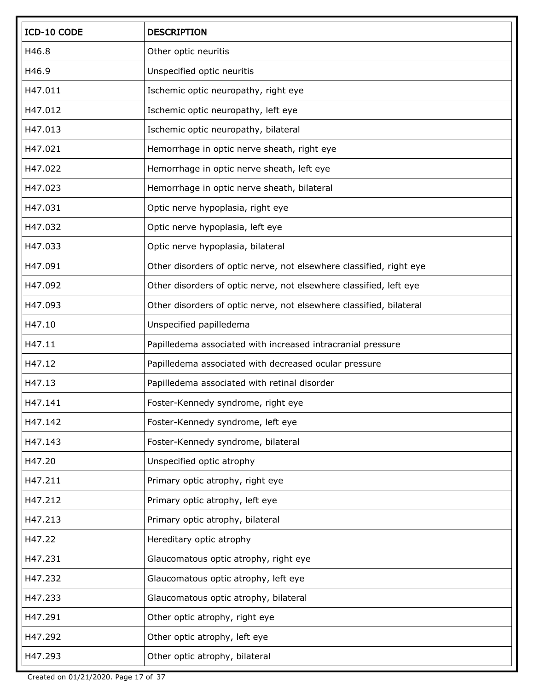| ICD-10 CODE | <b>DESCRIPTION</b>                                                  |
|-------------|---------------------------------------------------------------------|
| H46.8       | Other optic neuritis                                                |
| H46.9       | Unspecified optic neuritis                                          |
| H47.011     | Ischemic optic neuropathy, right eye                                |
| H47.012     | Ischemic optic neuropathy, left eye                                 |
| H47.013     | Ischemic optic neuropathy, bilateral                                |
| H47.021     | Hemorrhage in optic nerve sheath, right eye                         |
| H47.022     | Hemorrhage in optic nerve sheath, left eye                          |
| H47.023     | Hemorrhage in optic nerve sheath, bilateral                         |
| H47.031     | Optic nerve hypoplasia, right eye                                   |
| H47.032     | Optic nerve hypoplasia, left eye                                    |
| H47.033     | Optic nerve hypoplasia, bilateral                                   |
| H47.091     | Other disorders of optic nerve, not elsewhere classified, right eye |
| H47.092     | Other disorders of optic nerve, not elsewhere classified, left eye  |
| H47.093     | Other disorders of optic nerve, not elsewhere classified, bilateral |
| H47.10      | Unspecified papilledema                                             |
| H47.11      | Papilledema associated with increased intracranial pressure         |
| H47.12      | Papilledema associated with decreased ocular pressure               |
| H47.13      | Papilledema associated with retinal disorder                        |
| H47.141     | Foster-Kennedy syndrome, right eye                                  |
| H47.142     | Foster-Kennedy syndrome, left eye                                   |
| H47.143     | Foster-Kennedy syndrome, bilateral                                  |
| H47.20      | Unspecified optic atrophy                                           |
| H47.211     | Primary optic atrophy, right eye                                    |
| H47.212     | Primary optic atrophy, left eye                                     |
| H47.213     | Primary optic atrophy, bilateral                                    |
| H47.22      | Hereditary optic atrophy                                            |
| H47.231     | Glaucomatous optic atrophy, right eye                               |
| H47.232     | Glaucomatous optic atrophy, left eye                                |
| H47.233     | Glaucomatous optic atrophy, bilateral                               |
| H47.291     | Other optic atrophy, right eye                                      |
| H47.292     | Other optic atrophy, left eye                                       |
| H47.293     | Other optic atrophy, bilateral                                      |

Created on 01/21/2020. Page 17 of 37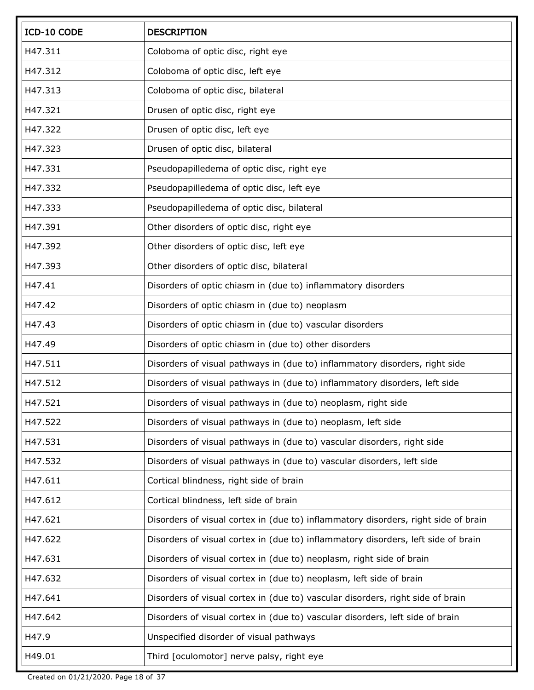| ICD-10 CODE | <b>DESCRIPTION</b>                                                                 |
|-------------|------------------------------------------------------------------------------------|
| H47.311     | Coloboma of optic disc, right eye                                                  |
| H47.312     | Coloboma of optic disc, left eye                                                   |
| H47.313     | Coloboma of optic disc, bilateral                                                  |
| H47.321     | Drusen of optic disc, right eye                                                    |
| H47.322     | Drusen of optic disc, left eye                                                     |
| H47.323     | Drusen of optic disc, bilateral                                                    |
| H47.331     | Pseudopapilledema of optic disc, right eye                                         |
| H47.332     | Pseudopapilledema of optic disc, left eye                                          |
| H47.333     | Pseudopapilledema of optic disc, bilateral                                         |
| H47.391     | Other disorders of optic disc, right eye                                           |
| H47.392     | Other disorders of optic disc, left eye                                            |
| H47.393     | Other disorders of optic disc, bilateral                                           |
| H47.41      | Disorders of optic chiasm in (due to) inflammatory disorders                       |
| H47.42      | Disorders of optic chiasm in (due to) neoplasm                                     |
| H47.43      | Disorders of optic chiasm in (due to) vascular disorders                           |
| H47.49      | Disorders of optic chiasm in (due to) other disorders                              |
| H47.511     | Disorders of visual pathways in (due to) inflammatory disorders, right side        |
| H47.512     | Disorders of visual pathways in (due to) inflammatory disorders, left side         |
| H47.521     | Disorders of visual pathways in (due to) neoplasm, right side                      |
| H47.522     | Disorders of visual pathways in (due to) neoplasm, left side                       |
| H47.531     | Disorders of visual pathways in (due to) vascular disorders, right side            |
| H47.532     | Disorders of visual pathways in (due to) vascular disorders, left side             |
| H47.611     | Cortical blindness, right side of brain                                            |
| H47.612     | Cortical blindness, left side of brain                                             |
| H47.621     | Disorders of visual cortex in (due to) inflammatory disorders, right side of brain |
| H47.622     | Disorders of visual cortex in (due to) inflammatory disorders, left side of brain  |
| H47.631     | Disorders of visual cortex in (due to) neoplasm, right side of brain               |
| H47.632     | Disorders of visual cortex in (due to) neoplasm, left side of brain                |
| H47.641     | Disorders of visual cortex in (due to) vascular disorders, right side of brain     |
| H47.642     | Disorders of visual cortex in (due to) vascular disorders, left side of brain      |
| H47.9       | Unspecified disorder of visual pathways                                            |
| H49.01      | Third [oculomotor] nerve palsy, right eye                                          |

Created on 01/21/2020. Page 18 of 37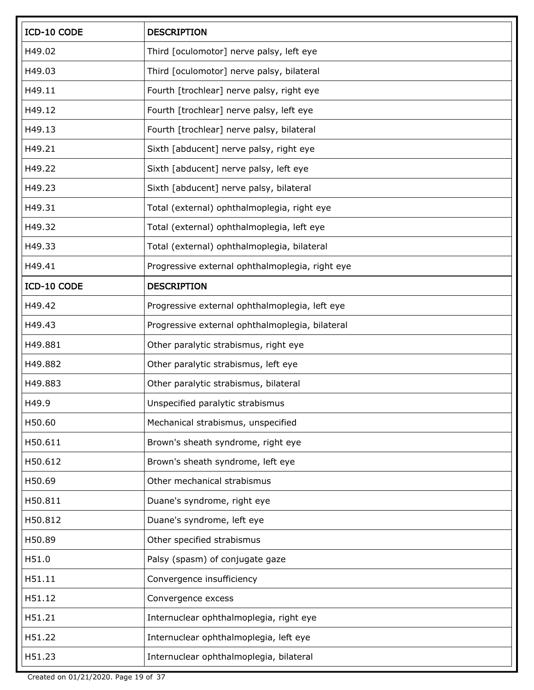| ICD-10 CODE | <b>DESCRIPTION</b>                              |
|-------------|-------------------------------------------------|
| H49.02      | Third [oculomotor] nerve palsy, left eye        |
| H49.03      | Third [oculomotor] nerve palsy, bilateral       |
| H49.11      | Fourth [trochlear] nerve palsy, right eye       |
| H49.12      | Fourth [trochlear] nerve palsy, left eye        |
| H49.13      | Fourth [trochlear] nerve palsy, bilateral       |
| H49.21      | Sixth [abducent] nerve palsy, right eye         |
| H49.22      | Sixth [abducent] nerve palsy, left eye          |
| H49.23      | Sixth [abducent] nerve palsy, bilateral         |
| H49.31      | Total (external) ophthalmoplegia, right eye     |
| H49.32      | Total (external) ophthalmoplegia, left eye      |
| H49.33      | Total (external) ophthalmoplegia, bilateral     |
| H49.41      | Progressive external ophthalmoplegia, right eye |
| ICD-10 CODE | <b>DESCRIPTION</b>                              |
| H49.42      | Progressive external ophthalmoplegia, left eye  |
| H49.43      | Progressive external ophthalmoplegia, bilateral |
| H49.881     | Other paralytic strabismus, right eye           |
| H49.882     | Other paralytic strabismus, left eye            |
| H49.883     | Other paralytic strabismus, bilateral           |
| H49.9       | Unspecified paralytic strabismus                |
| H50.60      | Mechanical strabismus, unspecified              |
| H50.611     | Brown's sheath syndrome, right eye              |
| H50.612     | Brown's sheath syndrome, left eye               |
| H50.69      | Other mechanical strabismus                     |
| H50.811     | Duane's syndrome, right eye                     |
| H50.812     | Duane's syndrome, left eye                      |
| H50.89      | Other specified strabismus                      |
| H51.0       | Palsy (spasm) of conjugate gaze                 |
| H51.11      | Convergence insufficiency                       |
| H51.12      | Convergence excess                              |
| H51.21      | Internuclear ophthalmoplegia, right eye         |
| H51.22      | Internuclear ophthalmoplegia, left eye          |
| H51.23      | Internuclear ophthalmoplegia, bilateral         |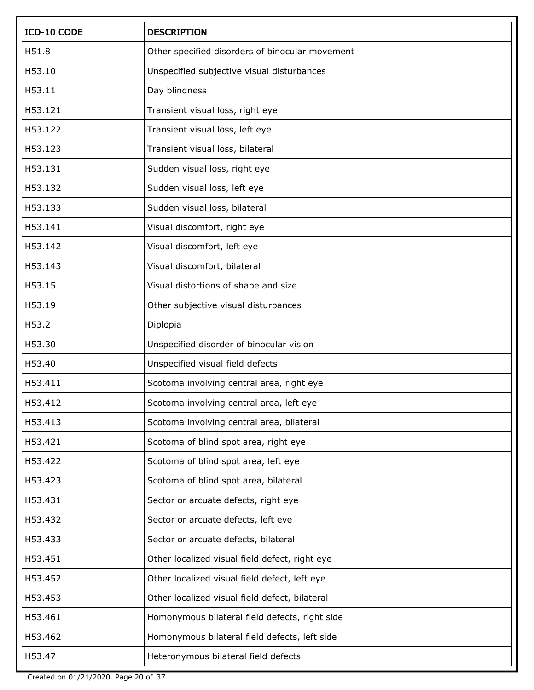| ICD-10 CODE | <b>DESCRIPTION</b>                              |
|-------------|-------------------------------------------------|
| H51.8       | Other specified disorders of binocular movement |
| H53.10      | Unspecified subjective visual disturbances      |
| H53.11      | Day blindness                                   |
| H53.121     | Transient visual loss, right eye                |
| H53.122     | Transient visual loss, left eye                 |
| H53.123     | Transient visual loss, bilateral                |
| H53.131     | Sudden visual loss, right eye                   |
| H53.132     | Sudden visual loss, left eye                    |
| H53.133     | Sudden visual loss, bilateral                   |
| H53.141     | Visual discomfort, right eye                    |
| H53.142     | Visual discomfort, left eye                     |
| H53.143     | Visual discomfort, bilateral                    |
| H53.15      | Visual distortions of shape and size            |
| H53.19      | Other subjective visual disturbances            |
| H53.2       | Diplopia                                        |
| H53.30      | Unspecified disorder of binocular vision        |
| H53.40      | Unspecified visual field defects                |
| H53.411     | Scotoma involving central area, right eye       |
| H53.412     | Scotoma involving central area, left eye        |
| H53.413     | Scotoma involving central area, bilateral       |
| H53.421     | Scotoma of blind spot area, right eye           |
| H53.422     | Scotoma of blind spot area, left eye            |
| H53.423     | Scotoma of blind spot area, bilateral           |
| H53.431     | Sector or arcuate defects, right eye            |
| H53.432     | Sector or arcuate defects, left eye             |
| H53.433     | Sector or arcuate defects, bilateral            |
| H53.451     | Other localized visual field defect, right eye  |
| H53.452     | Other localized visual field defect, left eye   |
| H53.453     | Other localized visual field defect, bilateral  |
| H53.461     | Homonymous bilateral field defects, right side  |
| H53.462     | Homonymous bilateral field defects, left side   |
| H53.47      | Heteronymous bilateral field defects            |

Created on 01/21/2020. Page 20 of 37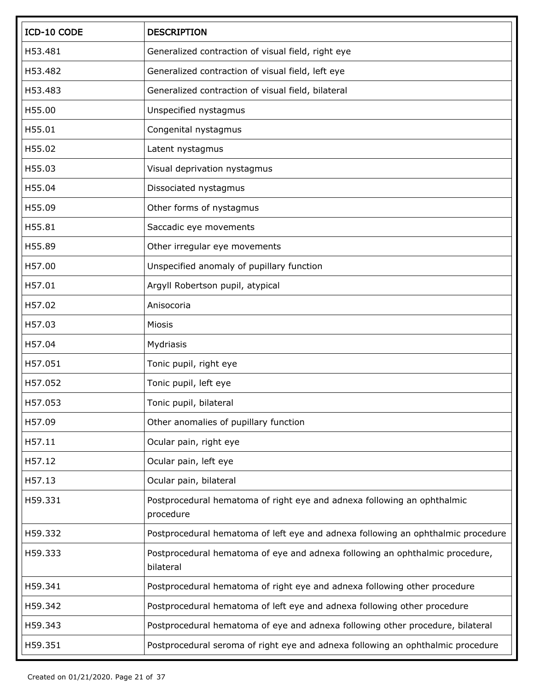| ICD-10 CODE | <b>DESCRIPTION</b>                                                                        |
|-------------|-------------------------------------------------------------------------------------------|
| H53.481     | Generalized contraction of visual field, right eye                                        |
| H53.482     | Generalized contraction of visual field, left eye                                         |
| H53.483     | Generalized contraction of visual field, bilateral                                        |
| H55.00      | Unspecified nystagmus                                                                     |
| H55.01      | Congenital nystagmus                                                                      |
| H55.02      | Latent nystagmus                                                                          |
| H55.03      | Visual deprivation nystagmus                                                              |
| H55.04      | Dissociated nystagmus                                                                     |
| H55.09      | Other forms of nystagmus                                                                  |
| H55.81      | Saccadic eye movements                                                                    |
| H55.89      | Other irregular eye movements                                                             |
| H57.00      | Unspecified anomaly of pupillary function                                                 |
| H57.01      | Argyll Robertson pupil, atypical                                                          |
| H57.02      | Anisocoria                                                                                |
| H57.03      | Miosis                                                                                    |
| H57.04      | Mydriasis                                                                                 |
| H57.051     | Tonic pupil, right eye                                                                    |
| H57.052     | Tonic pupil, left eye                                                                     |
| H57.053     | Tonic pupil, bilateral                                                                    |
| H57.09      | Other anomalies of pupillary function                                                     |
| H57.11      | Ocular pain, right eye                                                                    |
| H57.12      | Ocular pain, left eye                                                                     |
| H57.13      | Ocular pain, bilateral                                                                    |
| H59.331     | Postprocedural hematoma of right eye and adnexa following an ophthalmic<br>procedure      |
| H59.332     | Postprocedural hematoma of left eye and adnexa following an ophthalmic procedure          |
| H59.333     | Postprocedural hematoma of eye and adnexa following an ophthalmic procedure,<br>bilateral |
| H59.341     | Postprocedural hematoma of right eye and adnexa following other procedure                 |
| H59.342     | Postprocedural hematoma of left eye and adnexa following other procedure                  |
| H59.343     | Postprocedural hematoma of eye and adnexa following other procedure, bilateral            |
| H59.351     | Postprocedural seroma of right eye and adnexa following an ophthalmic procedure           |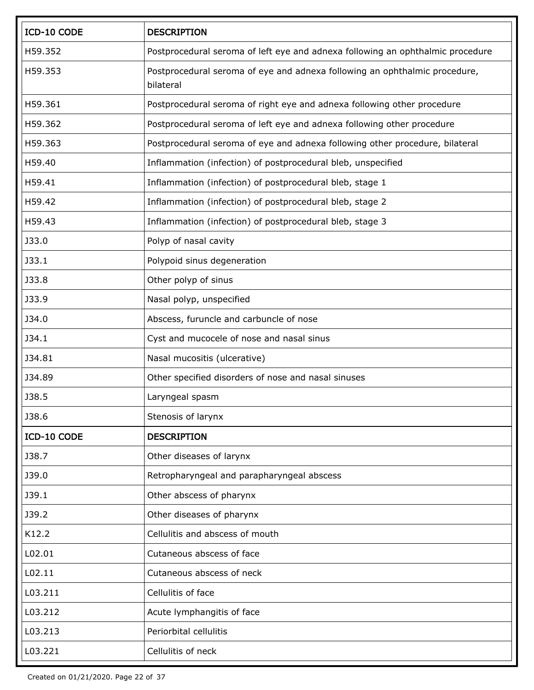| ICD-10 CODE  | <b>DESCRIPTION</b>                                                                      |
|--------------|-----------------------------------------------------------------------------------------|
| H59.352      | Postprocedural seroma of left eye and adnexa following an ophthalmic procedure          |
| H59.353      | Postprocedural seroma of eye and adnexa following an ophthalmic procedure,<br>bilateral |
| H59.361      | Postprocedural seroma of right eye and adnexa following other procedure                 |
| H59.362      | Postprocedural seroma of left eye and adnexa following other procedure                  |
| H59.363      | Postprocedural seroma of eye and adnexa following other procedure, bilateral            |
| H59.40       | Inflammation (infection) of postprocedural bleb, unspecified                            |
| H59.41       | Inflammation (infection) of postprocedural bleb, stage 1                                |
| H59.42       | Inflammation (infection) of postprocedural bleb, stage 2                                |
| H59.43       | Inflammation (infection) of postprocedural bleb, stage 3                                |
| J33.0        | Polyp of nasal cavity                                                                   |
| J33.1        | Polypoid sinus degeneration                                                             |
| J33.8        | Other polyp of sinus                                                                    |
| J33.9        | Nasal polyp, unspecified                                                                |
| J34.0        | Abscess, furuncle and carbuncle of nose                                                 |
| J34.1        | Cyst and mucocele of nose and nasal sinus                                               |
| J34.81       | Nasal mucositis (ulcerative)                                                            |
| J34.89       | Other specified disorders of nose and nasal sinuses                                     |
| <b>J38.5</b> | Laryngeal spasm                                                                         |
| <b>J38.6</b> | Stenosis of larynx                                                                      |
| ICD-10 CODE  | <b>DESCRIPTION</b>                                                                      |
| J38.7        | Other diseases of larynx                                                                |
| J39.0        | Retropharyngeal and parapharyngeal abscess                                              |
| J39.1        | Other abscess of pharynx                                                                |
| J39.2        | Other diseases of pharynx                                                               |
| K12.2        | Cellulitis and abscess of mouth                                                         |
| L02.01       | Cutaneous abscess of face                                                               |
| L02.11       | Cutaneous abscess of neck                                                               |
| L03.211      | Cellulitis of face                                                                      |
| L03.212      | Acute lymphangitis of face                                                              |
| L03.213      | Periorbital cellulitis                                                                  |
| L03.221      | Cellulitis of neck                                                                      |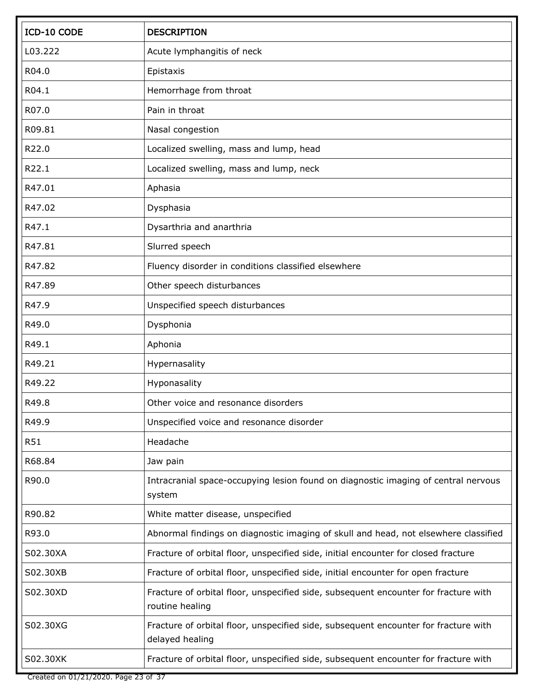| ICD-10 CODE | <b>DESCRIPTION</b>                                                                                     |
|-------------|--------------------------------------------------------------------------------------------------------|
| L03.222     | Acute lymphangitis of neck                                                                             |
| R04.0       | Epistaxis                                                                                              |
| R04.1       | Hemorrhage from throat                                                                                 |
| R07.0       | Pain in throat                                                                                         |
| R09.81      | Nasal congestion                                                                                       |
| R22.0       | Localized swelling, mass and lump, head                                                                |
| R22.1       | Localized swelling, mass and lump, neck                                                                |
| R47.01      | Aphasia                                                                                                |
| R47.02      | Dysphasia                                                                                              |
| R47.1       | Dysarthria and anarthria                                                                               |
| R47.81      | Slurred speech                                                                                         |
| R47.82      | Fluency disorder in conditions classified elsewhere                                                    |
| R47.89      | Other speech disturbances                                                                              |
| R47.9       | Unspecified speech disturbances                                                                        |
| R49.0       | Dysphonia                                                                                              |
| R49.1       | Aphonia                                                                                                |
| R49.21      | Hypernasality                                                                                          |
| R49.22      | Hyponasality                                                                                           |
| R49.8       | Other voice and resonance disorders                                                                    |
| R49.9       | Unspecified voice and resonance disorder                                                               |
| <b>R51</b>  | Headache                                                                                               |
| R68.84      | Jaw pain                                                                                               |
| R90.0       | Intracranial space-occupying lesion found on diagnostic imaging of central nervous<br>system           |
| R90.82      | White matter disease, unspecified                                                                      |
| R93.0       | Abnormal findings on diagnostic imaging of skull and head, not elsewhere classified                    |
| S02.30XA    | Fracture of orbital floor, unspecified side, initial encounter for closed fracture                     |
| S02.30XB    | Fracture of orbital floor, unspecified side, initial encounter for open fracture                       |
| S02.30XD    | Fracture of orbital floor, unspecified side, subsequent encounter for fracture with<br>routine healing |
| S02.30XG    | Fracture of orbital floor, unspecified side, subsequent encounter for fracture with<br>delayed healing |
| S02.30XK    | Fracture of orbital floor, unspecified side, subsequent encounter for fracture with                    |

Created on 01/21/2020. Page 23 of 37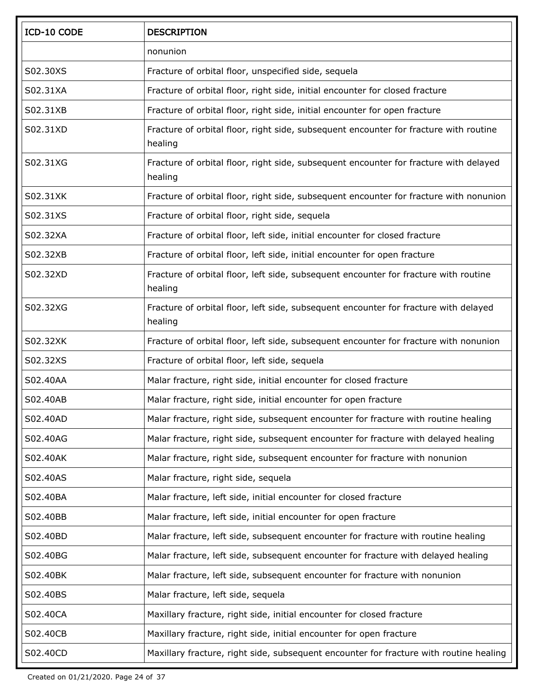| ICD-10 CODE | <b>DESCRIPTION</b>                                                                               |
|-------------|--------------------------------------------------------------------------------------------------|
|             | nonunion                                                                                         |
| S02.30XS    | Fracture of orbital floor, unspecified side, sequela                                             |
| S02.31XA    | Fracture of orbital floor, right side, initial encounter for closed fracture                     |
| S02.31XB    | Fracture of orbital floor, right side, initial encounter for open fracture                       |
| S02.31XD    | Fracture of orbital floor, right side, subsequent encounter for fracture with routine<br>healing |
| S02.31XG    | Fracture of orbital floor, right side, subsequent encounter for fracture with delayed<br>healing |
| S02.31XK    | Fracture of orbital floor, right side, subsequent encounter for fracture with nonunion           |
| S02.31XS    | Fracture of orbital floor, right side, sequela                                                   |
| S02.32XA    | Fracture of orbital floor, left side, initial encounter for closed fracture                      |
| S02.32XB    | Fracture of orbital floor, left side, initial encounter for open fracture                        |
| S02.32XD    | Fracture of orbital floor, left side, subsequent encounter for fracture with routine<br>healing  |
| S02.32XG    | Fracture of orbital floor, left side, subsequent encounter for fracture with delayed<br>healing  |
| S02.32XK    | Fracture of orbital floor, left side, subsequent encounter for fracture with nonunion            |
| S02.32XS    | Fracture of orbital floor, left side, sequela                                                    |
| S02.40AA    | Malar fracture, right side, initial encounter for closed fracture                                |
| S02.40AB    | Malar fracture, right side, initial encounter for open fracture                                  |
| S02.40AD    | Malar fracture, right side, subsequent encounter for fracture with routine healing               |
| S02.40AG    | Malar fracture, right side, subsequent encounter for fracture with delayed healing               |
| S02.40AK    | Malar fracture, right side, subsequent encounter for fracture with nonunion                      |
| S02.40AS    | Malar fracture, right side, sequela                                                              |
| S02.40BA    | Malar fracture, left side, initial encounter for closed fracture                                 |
| S02.40BB    | Malar fracture, left side, initial encounter for open fracture                                   |
| S02.40BD    | Malar fracture, left side, subsequent encounter for fracture with routine healing                |
| S02.40BG    | Malar fracture, left side, subsequent encounter for fracture with delayed healing                |
| S02.40BK    | Malar fracture, left side, subsequent encounter for fracture with nonunion                       |
| S02.40BS    | Malar fracture, left side, sequela                                                               |
| S02.40CA    | Maxillary fracture, right side, initial encounter for closed fracture                            |
| S02.40CB    | Maxillary fracture, right side, initial encounter for open fracture                              |
| S02.40CD    | Maxillary fracture, right side, subsequent encounter for fracture with routine healing           |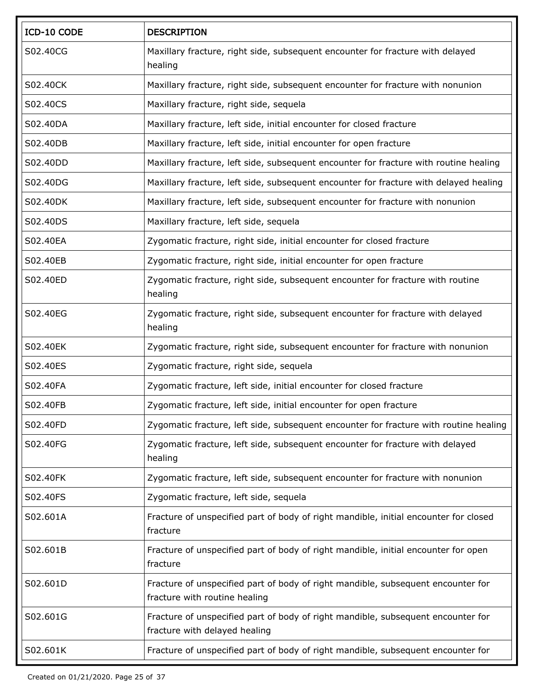| ICD-10 CODE | <b>DESCRIPTION</b>                                                                                                |
|-------------|-------------------------------------------------------------------------------------------------------------------|
| S02.40CG    | Maxillary fracture, right side, subsequent encounter for fracture with delayed<br>healing                         |
| S02.40CK    | Maxillary fracture, right side, subsequent encounter for fracture with nonunion                                   |
| S02.40CS    | Maxillary fracture, right side, sequela                                                                           |
| S02.40DA    | Maxillary fracture, left side, initial encounter for closed fracture                                              |
| S02.40DB    | Maxillary fracture, left side, initial encounter for open fracture                                                |
| S02.40DD    | Maxillary fracture, left side, subsequent encounter for fracture with routine healing                             |
| S02.40DG    | Maxillary fracture, left side, subsequent encounter for fracture with delayed healing                             |
| S02.40DK    | Maxillary fracture, left side, subsequent encounter for fracture with nonunion                                    |
| S02.40DS    | Maxillary fracture, left side, sequela                                                                            |
| S02.40EA    | Zygomatic fracture, right side, initial encounter for closed fracture                                             |
| S02.40EB    | Zygomatic fracture, right side, initial encounter for open fracture                                               |
| S02.40ED    | Zygomatic fracture, right side, subsequent encounter for fracture with routine<br>healing                         |
| S02.40EG    | Zygomatic fracture, right side, subsequent encounter for fracture with delayed<br>healing                         |
| S02.40EK    | Zygomatic fracture, right side, subsequent encounter for fracture with nonunion                                   |
| S02.40ES    | Zygomatic fracture, right side, sequela                                                                           |
| S02.40FA    | Zygomatic fracture, left side, initial encounter for closed fracture                                              |
| S02.40FB    | Zygomatic fracture, left side, initial encounter for open fracture                                                |
| S02.40FD    | Zygomatic fracture, left side, subsequent encounter for fracture with routine healing                             |
| S02.40FG    | Zygomatic fracture, left side, subsequent encounter for fracture with delayed<br>healing                          |
| S02.40FK    | Zygomatic fracture, left side, subsequent encounter for fracture with nonunion                                    |
| S02.40FS    | Zygomatic fracture, left side, sequela                                                                            |
| S02.601A    | Fracture of unspecified part of body of right mandible, initial encounter for closed<br>fracture                  |
| S02.601B    | Fracture of unspecified part of body of right mandible, initial encounter for open<br>fracture                    |
| S02.601D    | Fracture of unspecified part of body of right mandible, subsequent encounter for<br>fracture with routine healing |
| S02.601G    | Fracture of unspecified part of body of right mandible, subsequent encounter for<br>fracture with delayed healing |
| S02.601K    | Fracture of unspecified part of body of right mandible, subsequent encounter for                                  |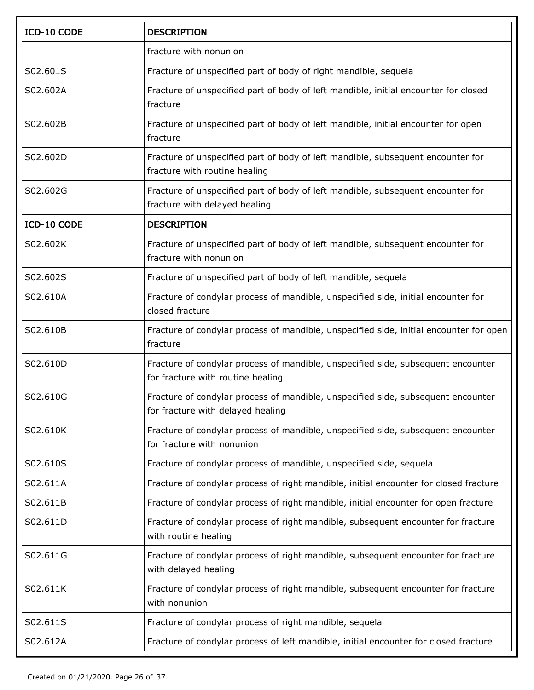| fracture with nonunion<br>S02.601S<br>Fracture of unspecified part of body of right mandible, sequela<br>S02.602A<br>Fracture of unspecified part of body of left mandible, initial encounter for closed<br>fracture<br>Fracture of unspecified part of body of left mandible, initial encounter for open<br>S02.602B<br>fracture<br>S02.602D<br>Fracture of unspecified part of body of left mandible, subsequent encounter for<br>fracture with routine healing<br>S02.602G<br>Fracture of unspecified part of body of left mandible, subsequent encounter for<br>fracture with delayed healing<br>ICD-10 CODE<br><b>DESCRIPTION</b><br>S02.602K<br>Fracture of unspecified part of body of left mandible, subsequent encounter for<br>fracture with nonunion<br>S02.602S<br>Fracture of unspecified part of body of left mandible, sequela<br>Fracture of condylar process of mandible, unspecified side, initial encounter for<br>S02.610A<br>closed fracture<br>S02.610B<br>Fracture of condylar process of mandible, unspecified side, initial encounter for open<br>fracture<br>S02.610D<br>Fracture of condylar process of mandible, unspecified side, subsequent encounter |  |
|-------------------------------------------------------------------------------------------------------------------------------------------------------------------------------------------------------------------------------------------------------------------------------------------------------------------------------------------------------------------------------------------------------------------------------------------------------------------------------------------------------------------------------------------------------------------------------------------------------------------------------------------------------------------------------------------------------------------------------------------------------------------------------------------------------------------------------------------------------------------------------------------------------------------------------------------------------------------------------------------------------------------------------------------------------------------------------------------------------------------------------------------------------------------------------------|--|
|                                                                                                                                                                                                                                                                                                                                                                                                                                                                                                                                                                                                                                                                                                                                                                                                                                                                                                                                                                                                                                                                                                                                                                                     |  |
|                                                                                                                                                                                                                                                                                                                                                                                                                                                                                                                                                                                                                                                                                                                                                                                                                                                                                                                                                                                                                                                                                                                                                                                     |  |
|                                                                                                                                                                                                                                                                                                                                                                                                                                                                                                                                                                                                                                                                                                                                                                                                                                                                                                                                                                                                                                                                                                                                                                                     |  |
|                                                                                                                                                                                                                                                                                                                                                                                                                                                                                                                                                                                                                                                                                                                                                                                                                                                                                                                                                                                                                                                                                                                                                                                     |  |
|                                                                                                                                                                                                                                                                                                                                                                                                                                                                                                                                                                                                                                                                                                                                                                                                                                                                                                                                                                                                                                                                                                                                                                                     |  |
|                                                                                                                                                                                                                                                                                                                                                                                                                                                                                                                                                                                                                                                                                                                                                                                                                                                                                                                                                                                                                                                                                                                                                                                     |  |
|                                                                                                                                                                                                                                                                                                                                                                                                                                                                                                                                                                                                                                                                                                                                                                                                                                                                                                                                                                                                                                                                                                                                                                                     |  |
|                                                                                                                                                                                                                                                                                                                                                                                                                                                                                                                                                                                                                                                                                                                                                                                                                                                                                                                                                                                                                                                                                                                                                                                     |  |
|                                                                                                                                                                                                                                                                                                                                                                                                                                                                                                                                                                                                                                                                                                                                                                                                                                                                                                                                                                                                                                                                                                                                                                                     |  |
|                                                                                                                                                                                                                                                                                                                                                                                                                                                                                                                                                                                                                                                                                                                                                                                                                                                                                                                                                                                                                                                                                                                                                                                     |  |
|                                                                                                                                                                                                                                                                                                                                                                                                                                                                                                                                                                                                                                                                                                                                                                                                                                                                                                                                                                                                                                                                                                                                                                                     |  |
| for fracture with routine healing                                                                                                                                                                                                                                                                                                                                                                                                                                                                                                                                                                                                                                                                                                                                                                                                                                                                                                                                                                                                                                                                                                                                                   |  |
| Fracture of condylar process of mandible, unspecified side, subsequent encounter<br>S02.610G<br>for fracture with delayed healing                                                                                                                                                                                                                                                                                                                                                                                                                                                                                                                                                                                                                                                                                                                                                                                                                                                                                                                                                                                                                                                   |  |
| Fracture of condylar process of mandible, unspecified side, subsequent encounter<br>S02.610K<br>for fracture with nonunion                                                                                                                                                                                                                                                                                                                                                                                                                                                                                                                                                                                                                                                                                                                                                                                                                                                                                                                                                                                                                                                          |  |
| Fracture of condylar process of mandible, unspecified side, sequela<br>S02.610S                                                                                                                                                                                                                                                                                                                                                                                                                                                                                                                                                                                                                                                                                                                                                                                                                                                                                                                                                                                                                                                                                                     |  |
| S02.611A<br>Fracture of condylar process of right mandible, initial encounter for closed fracture                                                                                                                                                                                                                                                                                                                                                                                                                                                                                                                                                                                                                                                                                                                                                                                                                                                                                                                                                                                                                                                                                   |  |
| Fracture of condylar process of right mandible, initial encounter for open fracture<br>S02.611B                                                                                                                                                                                                                                                                                                                                                                                                                                                                                                                                                                                                                                                                                                                                                                                                                                                                                                                                                                                                                                                                                     |  |
| Fracture of condylar process of right mandible, subsequent encounter for fracture<br>S02.611D<br>with routine healing                                                                                                                                                                                                                                                                                                                                                                                                                                                                                                                                                                                                                                                                                                                                                                                                                                                                                                                                                                                                                                                               |  |
| S02.611G<br>Fracture of condylar process of right mandible, subsequent encounter for fracture<br>with delayed healing                                                                                                                                                                                                                                                                                                                                                                                                                                                                                                                                                                                                                                                                                                                                                                                                                                                                                                                                                                                                                                                               |  |
| Fracture of condylar process of right mandible, subsequent encounter for fracture<br>S02.611K<br>with nonunion                                                                                                                                                                                                                                                                                                                                                                                                                                                                                                                                                                                                                                                                                                                                                                                                                                                                                                                                                                                                                                                                      |  |
| S02.611S<br>Fracture of condylar process of right mandible, sequela                                                                                                                                                                                                                                                                                                                                                                                                                                                                                                                                                                                                                                                                                                                                                                                                                                                                                                                                                                                                                                                                                                                 |  |
| Fracture of condylar process of left mandible, initial encounter for closed fracture<br>S02.612A                                                                                                                                                                                                                                                                                                                                                                                                                                                                                                                                                                                                                                                                                                                                                                                                                                                                                                                                                                                                                                                                                    |  |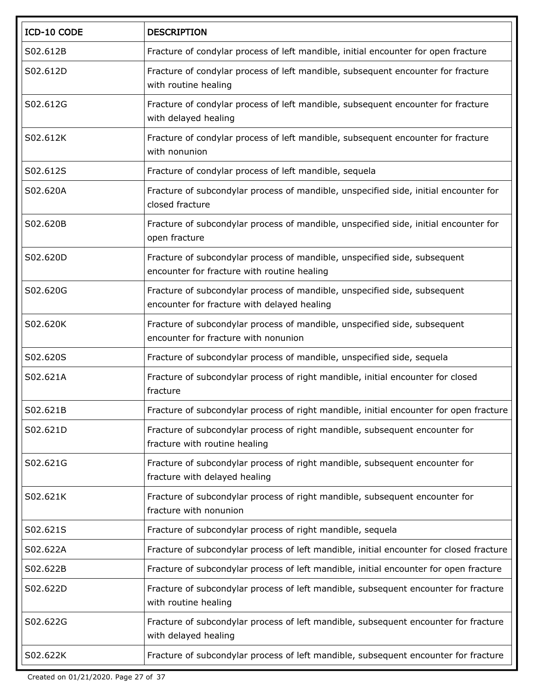| ICD-10 CODE | <b>DESCRIPTION</b>                                                                                                       |
|-------------|--------------------------------------------------------------------------------------------------------------------------|
| S02.612B    | Fracture of condylar process of left mandible, initial encounter for open fracture                                       |
| S02.612D    | Fracture of condylar process of left mandible, subsequent encounter for fracture<br>with routine healing                 |
| S02.612G    | Fracture of condylar process of left mandible, subsequent encounter for fracture<br>with delayed healing                 |
| S02.612K    | Fracture of condylar process of left mandible, subsequent encounter for fracture<br>with nonunion                        |
| S02.612S    | Fracture of condylar process of left mandible, sequela                                                                   |
| S02.620A    | Fracture of subcondylar process of mandible, unspecified side, initial encounter for<br>closed fracture                  |
| S02.620B    | Fracture of subcondylar process of mandible, unspecified side, initial encounter for<br>open fracture                    |
| S02.620D    | Fracture of subcondylar process of mandible, unspecified side, subsequent<br>encounter for fracture with routine healing |
| S02.620G    | Fracture of subcondylar process of mandible, unspecified side, subsequent<br>encounter for fracture with delayed healing |
| S02.620K    | Fracture of subcondylar process of mandible, unspecified side, subsequent<br>encounter for fracture with nonunion        |
| S02.620S    | Fracture of subcondylar process of mandible, unspecified side, sequela                                                   |
| S02.621A    | Fracture of subcondylar process of right mandible, initial encounter for closed<br>fracture                              |
| S02.621B    | Fracture of subcondylar process of right mandible, initial encounter for open fracture                                   |
| S02.621D    | Fracture of subcondylar process of right mandible, subsequent encounter for<br>fracture with routine healing             |
| S02.621G    | Fracture of subcondylar process of right mandible, subsequent encounter for<br>fracture with delayed healing             |
| S02.621K    | Fracture of subcondylar process of right mandible, subsequent encounter for<br>fracture with nonunion                    |
| S02.621S    | Fracture of subcondylar process of right mandible, sequela                                                               |
| S02.622A    | Fracture of subcondylar process of left mandible, initial encounter for closed fracture                                  |
| S02.622B    | Fracture of subcondylar process of left mandible, initial encounter for open fracture                                    |
| S02.622D    | Fracture of subcondylar process of left mandible, subsequent encounter for fracture<br>with routine healing              |
| S02.622G    | Fracture of subcondylar process of left mandible, subsequent encounter for fracture<br>with delayed healing              |
| S02.622K    | Fracture of subcondylar process of left mandible, subsequent encounter for fracture                                      |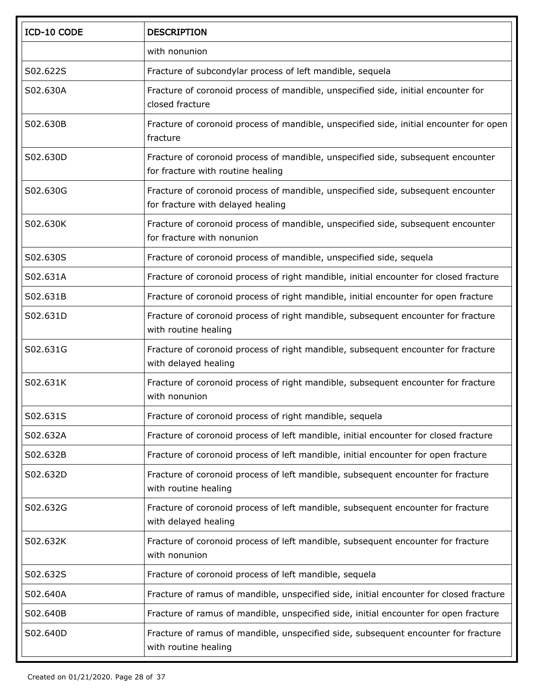| ICD-10 CODE | <b>DESCRIPTION</b>                                                                                                    |
|-------------|-----------------------------------------------------------------------------------------------------------------------|
|             | with nonunion                                                                                                         |
| S02.622S    | Fracture of subcondylar process of left mandible, sequela                                                             |
| S02.630A    | Fracture of coronoid process of mandible, unspecified side, initial encounter for<br>closed fracture                  |
| S02.630B    | Fracture of coronoid process of mandible, unspecified side, initial encounter for open<br>fracture                    |
| S02.630D    | Fracture of coronoid process of mandible, unspecified side, subsequent encounter<br>for fracture with routine healing |
| S02.630G    | Fracture of coronoid process of mandible, unspecified side, subsequent encounter<br>for fracture with delayed healing |
| S02.630K    | Fracture of coronoid process of mandible, unspecified side, subsequent encounter<br>for fracture with nonunion        |
| S02.630S    | Fracture of coronoid process of mandible, unspecified side, sequela                                                   |
| S02.631A    | Fracture of coronoid process of right mandible, initial encounter for closed fracture                                 |
| S02.631B    | Fracture of coronoid process of right mandible, initial encounter for open fracture                                   |
| S02.631D    | Fracture of coronoid process of right mandible, subsequent encounter for fracture<br>with routine healing             |
| S02.631G    | Fracture of coronoid process of right mandible, subsequent encounter for fracture<br>with delayed healing             |
| S02.631K    | Fracture of coronoid process of right mandible, subsequent encounter for fracture<br>with nonunion                    |
| S02.631S    | Fracture of coronoid process of right mandible, sequela                                                               |
| S02.632A    | Fracture of coronoid process of left mandible, initial encounter for closed fracture                                  |
| S02.632B    | Fracture of coronoid process of left mandible, initial encounter for open fracture                                    |
| S02.632D    | Fracture of coronoid process of left mandible, subsequent encounter for fracture<br>with routine healing              |
| S02.632G    | Fracture of coronoid process of left mandible, subsequent encounter for fracture<br>with delayed healing              |
| S02.632K    | Fracture of coronoid process of left mandible, subsequent encounter for fracture<br>with nonunion                     |
| S02.632S    | Fracture of coronoid process of left mandible, sequela                                                                |
| S02.640A    | Fracture of ramus of mandible, unspecified side, initial encounter for closed fracture                                |
| S02.640B    | Fracture of ramus of mandible, unspecified side, initial encounter for open fracture                                  |
| S02.640D    | Fracture of ramus of mandible, unspecified side, subsequent encounter for fracture<br>with routine healing            |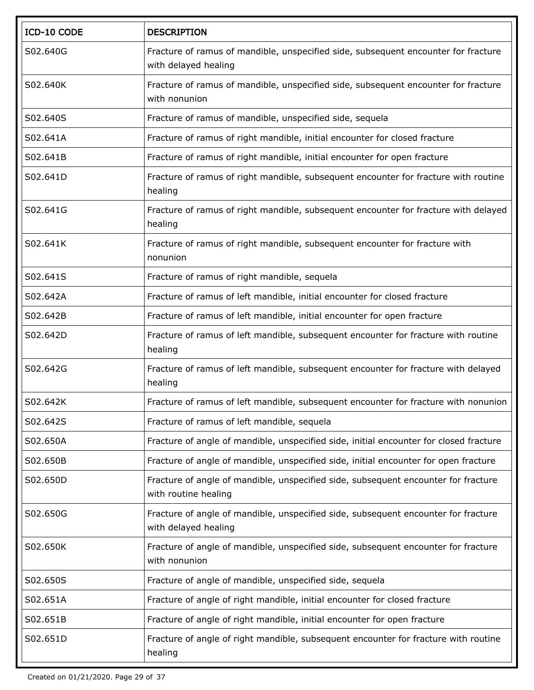| ICD-10 CODE | <b>DESCRIPTION</b>                                                                                         |
|-------------|------------------------------------------------------------------------------------------------------------|
| S02.640G    | Fracture of ramus of mandible, unspecified side, subsequent encounter for fracture<br>with delayed healing |
| S02.640K    | Fracture of ramus of mandible, unspecified side, subsequent encounter for fracture<br>with nonunion        |
| S02.640S    | Fracture of ramus of mandible, unspecified side, sequela                                                   |
| S02.641A    | Fracture of ramus of right mandible, initial encounter for closed fracture                                 |
| S02.641B    | Fracture of ramus of right mandible, initial encounter for open fracture                                   |
| S02.641D    | Fracture of ramus of right mandible, subsequent encounter for fracture with routine<br>healing             |
| S02.641G    | Fracture of ramus of right mandible, subsequent encounter for fracture with delayed<br>healing             |
| S02.641K    | Fracture of ramus of right mandible, subsequent encounter for fracture with<br>nonunion                    |
| S02.641S    | Fracture of ramus of right mandible, sequela                                                               |
| S02.642A    | Fracture of ramus of left mandible, initial encounter for closed fracture                                  |
| S02.642B    | Fracture of ramus of left mandible, initial encounter for open fracture                                    |
| S02.642D    | Fracture of ramus of left mandible, subsequent encounter for fracture with routine<br>healing              |
| S02.642G    | Fracture of ramus of left mandible, subsequent encounter for fracture with delayed<br>healing              |
| S02.642K    | Fracture of ramus of left mandible, subsequent encounter for fracture with nonunion                        |
| S02.642S    | Fracture of ramus of left mandible, sequela                                                                |
| S02.650A    | Fracture of angle of mandible, unspecified side, initial encounter for closed fracture                     |
| S02.650B    | Fracture of angle of mandible, unspecified side, initial encounter for open fracture                       |
| S02.650D    | Fracture of angle of mandible, unspecified side, subsequent encounter for fracture<br>with routine healing |
| S02.650G    | Fracture of angle of mandible, unspecified side, subsequent encounter for fracture<br>with delayed healing |
| S02.650K    | Fracture of angle of mandible, unspecified side, subsequent encounter for fracture<br>with nonunion        |
| S02.650S    | Fracture of angle of mandible, unspecified side, sequela                                                   |
| S02.651A    | Fracture of angle of right mandible, initial encounter for closed fracture                                 |
| S02.651B    | Fracture of angle of right mandible, initial encounter for open fracture                                   |
| S02.651D    | Fracture of angle of right mandible, subsequent encounter for fracture with routine<br>healing             |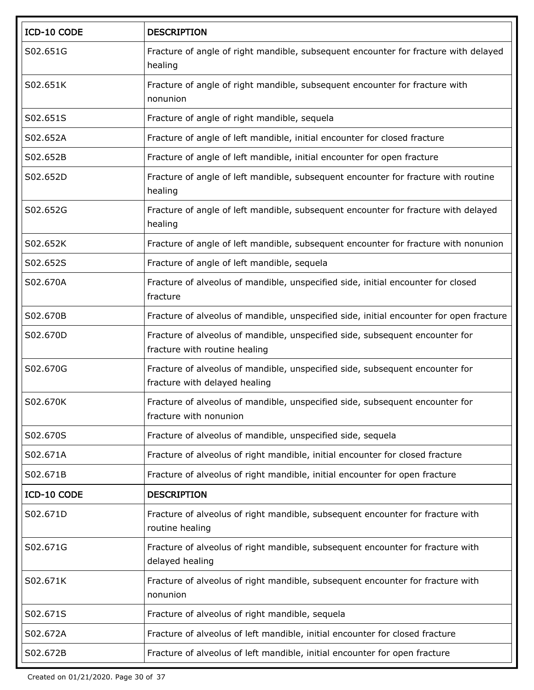| ICD-10 CODE | <b>DESCRIPTION</b>                                                                                            |
|-------------|---------------------------------------------------------------------------------------------------------------|
| S02.651G    | Fracture of angle of right mandible, subsequent encounter for fracture with delayed<br>healing                |
| S02.651K    | Fracture of angle of right mandible, subsequent encounter for fracture with<br>nonunion                       |
| S02.651S    | Fracture of angle of right mandible, sequela                                                                  |
| S02.652A    | Fracture of angle of left mandible, initial encounter for closed fracture                                     |
| S02.652B    | Fracture of angle of left mandible, initial encounter for open fracture                                       |
| S02.652D    | Fracture of angle of left mandible, subsequent encounter for fracture with routine<br>healing                 |
| S02.652G    | Fracture of angle of left mandible, subsequent encounter for fracture with delayed<br>healing                 |
| S02.652K    | Fracture of angle of left mandible, subsequent encounter for fracture with nonunion                           |
| S02.652S    | Fracture of angle of left mandible, sequela                                                                   |
| S02.670A    | Fracture of alveolus of mandible, unspecified side, initial encounter for closed<br>fracture                  |
| S02.670B    | Fracture of alveolus of mandible, unspecified side, initial encounter for open fracture                       |
| S02.670D    | Fracture of alveolus of mandible, unspecified side, subsequent encounter for<br>fracture with routine healing |
| S02.670G    | Fracture of alveolus of mandible, unspecified side, subsequent encounter for<br>fracture with delayed healing |
| S02.670K    | Fracture of alveolus of mandible, unspecified side, subsequent encounter for<br>fracture with nonunion        |
| S02.670S    | Fracture of alveolus of mandible, unspecified side, sequela                                                   |
| S02.671A    | Fracture of alveolus of right mandible, initial encounter for closed fracture                                 |
| S02.671B    | Fracture of alveolus of right mandible, initial encounter for open fracture                                   |
| ICD-10 CODE | <b>DESCRIPTION</b>                                                                                            |
| S02.671D    | Fracture of alveolus of right mandible, subsequent encounter for fracture with<br>routine healing             |
| S02.671G    | Fracture of alveolus of right mandible, subsequent encounter for fracture with<br>delayed healing             |
| S02.671K    | Fracture of alveolus of right mandible, subsequent encounter for fracture with<br>nonunion                    |
| S02.671S    | Fracture of alveolus of right mandible, sequela                                                               |
| S02.672A    | Fracture of alveolus of left mandible, initial encounter for closed fracture                                  |
| S02.672B    | Fracture of alveolus of left mandible, initial encounter for open fracture                                    |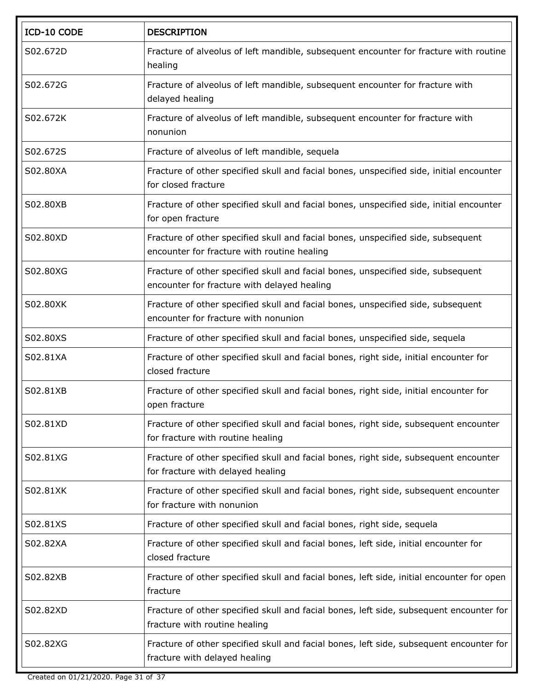| ICD-10 CODE | <b>DESCRIPTION</b>                                                                                                              |
|-------------|---------------------------------------------------------------------------------------------------------------------------------|
| S02.672D    | Fracture of alveolus of left mandible, subsequent encounter for fracture with routine<br>healing                                |
| S02.672G    | Fracture of alveolus of left mandible, subsequent encounter for fracture with<br>delayed healing                                |
| S02.672K    | Fracture of alveolus of left mandible, subsequent encounter for fracture with<br>nonunion                                       |
| S02.672S    | Fracture of alveolus of left mandible, sequela                                                                                  |
| S02.80XA    | Fracture of other specified skull and facial bones, unspecified side, initial encounter<br>for closed fracture                  |
| S02.80XB    | Fracture of other specified skull and facial bones, unspecified side, initial encounter<br>for open fracture                    |
| S02.80XD    | Fracture of other specified skull and facial bones, unspecified side, subsequent<br>encounter for fracture with routine healing |
| S02.80XG    | Fracture of other specified skull and facial bones, unspecified side, subsequent<br>encounter for fracture with delayed healing |
| S02.80XK    | Fracture of other specified skull and facial bones, unspecified side, subsequent<br>encounter for fracture with nonunion        |
| S02.80XS    | Fracture of other specified skull and facial bones, unspecified side, sequela                                                   |
| S02.81XA    | Fracture of other specified skull and facial bones, right side, initial encounter for<br>closed fracture                        |
| S02.81XB    | Fracture of other specified skull and facial bones, right side, initial encounter for<br>open fracture                          |
| S02.81XD    | Fracture of other specified skull and facial bones, right side, subsequent encounter<br>for fracture with routine healing       |
| S02.81XG    | Fracture of other specified skull and facial bones, right side, subsequent encounter<br>for fracture with delayed healing       |
| S02.81XK    | Fracture of other specified skull and facial bones, right side, subsequent encounter<br>for fracture with nonunion              |
| S02.81XS    | Fracture of other specified skull and facial bones, right side, sequela                                                         |
| S02.82XA    | Fracture of other specified skull and facial bones, left side, initial encounter for<br>closed fracture                         |
| S02.82XB    | Fracture of other specified skull and facial bones, left side, initial encounter for open<br>fracture                           |
| S02.82XD    | Fracture of other specified skull and facial bones, left side, subsequent encounter for<br>fracture with routine healing        |
| S02.82XG    | Fracture of other specified skull and facial bones, left side, subsequent encounter for<br>fracture with delayed healing        |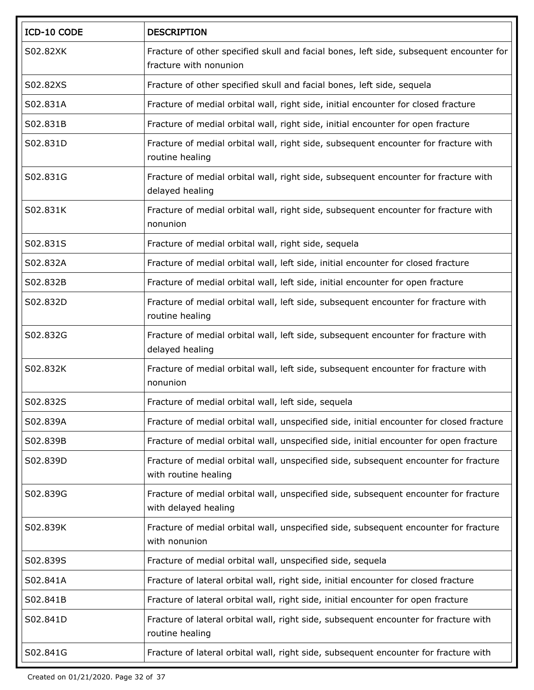| ICD-10 CODE | <b>DESCRIPTION</b>                                                                                                |
|-------------|-------------------------------------------------------------------------------------------------------------------|
| S02.82XK    | Fracture of other specified skull and facial bones, left side, subsequent encounter for<br>fracture with nonunion |
| S02.82XS    | Fracture of other specified skull and facial bones, left side, sequela                                            |
| S02.831A    | Fracture of medial orbital wall, right side, initial encounter for closed fracture                                |
| S02.831B    | Fracture of medial orbital wall, right side, initial encounter for open fracture                                  |
| S02.831D    | Fracture of medial orbital wall, right side, subsequent encounter for fracture with<br>routine healing            |
| S02.831G    | Fracture of medial orbital wall, right side, subsequent encounter for fracture with<br>delayed healing            |
| S02.831K    | Fracture of medial orbital wall, right side, subsequent encounter for fracture with<br>nonunion                   |
| S02.831S    | Fracture of medial orbital wall, right side, sequela                                                              |
| S02.832A    | Fracture of medial orbital wall, left side, initial encounter for closed fracture                                 |
| S02.832B    | Fracture of medial orbital wall, left side, initial encounter for open fracture                                   |
| S02.832D    | Fracture of medial orbital wall, left side, subsequent encounter for fracture with<br>routine healing             |
| S02.832G    | Fracture of medial orbital wall, left side, subsequent encounter for fracture with<br>delayed healing             |
| S02.832K    | Fracture of medial orbital wall, left side, subsequent encounter for fracture with<br>nonunion                    |
| S02.832S    | Fracture of medial orbital wall, left side, sequela                                                               |
| S02.839A    | Fracture of medial orbital wall, unspecified side, initial encounter for closed fracture                          |
| S02.839B    | Fracture of medial orbital wall, unspecified side, initial encounter for open fracture                            |
| S02.839D    | Fracture of medial orbital wall, unspecified side, subsequent encounter for fracture<br>with routine healing      |
| S02.839G    | Fracture of medial orbital wall, unspecified side, subsequent encounter for fracture<br>with delayed healing      |
| S02.839K    | Fracture of medial orbital wall, unspecified side, subsequent encounter for fracture<br>with nonunion             |
| S02.839S    | Fracture of medial orbital wall, unspecified side, sequela                                                        |
| S02.841A    | Fracture of lateral orbital wall, right side, initial encounter for closed fracture                               |
| S02.841B    | Fracture of lateral orbital wall, right side, initial encounter for open fracture                                 |
| S02.841D    | Fracture of lateral orbital wall, right side, subsequent encounter for fracture with<br>routine healing           |
| S02.841G    | Fracture of lateral orbital wall, right side, subsequent encounter for fracture with                              |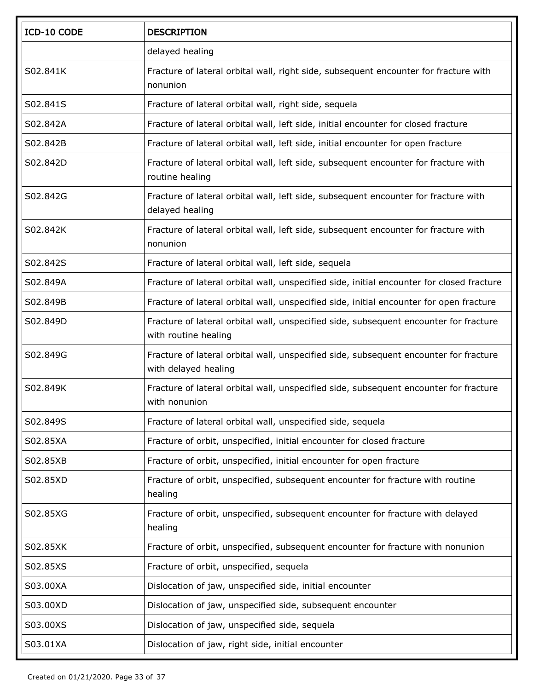| ICD-10 CODE | <b>DESCRIPTION</b>                                                                                            |
|-------------|---------------------------------------------------------------------------------------------------------------|
|             | delayed healing                                                                                               |
| S02.841K    | Fracture of lateral orbital wall, right side, subsequent encounter for fracture with<br>nonunion              |
| S02.841S    | Fracture of lateral orbital wall, right side, sequela                                                         |
| S02.842A    | Fracture of lateral orbital wall, left side, initial encounter for closed fracture                            |
| S02.842B    | Fracture of lateral orbital wall, left side, initial encounter for open fracture                              |
| S02.842D    | Fracture of lateral orbital wall, left side, subsequent encounter for fracture with<br>routine healing        |
| S02.842G    | Fracture of lateral orbital wall, left side, subsequent encounter for fracture with<br>delayed healing        |
| S02.842K    | Fracture of lateral orbital wall, left side, subsequent encounter for fracture with<br>nonunion               |
| S02.842S    | Fracture of lateral orbital wall, left side, sequela                                                          |
| S02.849A    | Fracture of lateral orbital wall, unspecified side, initial encounter for closed fracture                     |
| S02.849B    | Fracture of lateral orbital wall, unspecified side, initial encounter for open fracture                       |
| S02.849D    | Fracture of lateral orbital wall, unspecified side, subsequent encounter for fracture<br>with routine healing |
| S02.849G    | Fracture of lateral orbital wall, unspecified side, subsequent encounter for fracture<br>with delayed healing |
| S02.849K    | Fracture of lateral orbital wall, unspecified side, subsequent encounter for fracture<br>with nonunion        |
| S02.849S    | Fracture of lateral orbital wall, unspecified side, sequela                                                   |
| S02.85XA    | Fracture of orbit, unspecified, initial encounter for closed fracture                                         |
| S02.85XB    | Fracture of orbit, unspecified, initial encounter for open fracture                                           |
| S02.85XD    | Fracture of orbit, unspecified, subsequent encounter for fracture with routine<br>healing                     |
| S02.85XG    | Fracture of orbit, unspecified, subsequent encounter for fracture with delayed<br>healing                     |
| S02.85XK    | Fracture of orbit, unspecified, subsequent encounter for fracture with nonunion                               |
| S02.85XS    | Fracture of orbit, unspecified, sequela                                                                       |
| S03.00XA    | Dislocation of jaw, unspecified side, initial encounter                                                       |
| S03.00XD    | Dislocation of jaw, unspecified side, subsequent encounter                                                    |
| S03.00XS    | Dislocation of jaw, unspecified side, sequela                                                                 |
| S03.01XA    | Dislocation of jaw, right side, initial encounter                                                             |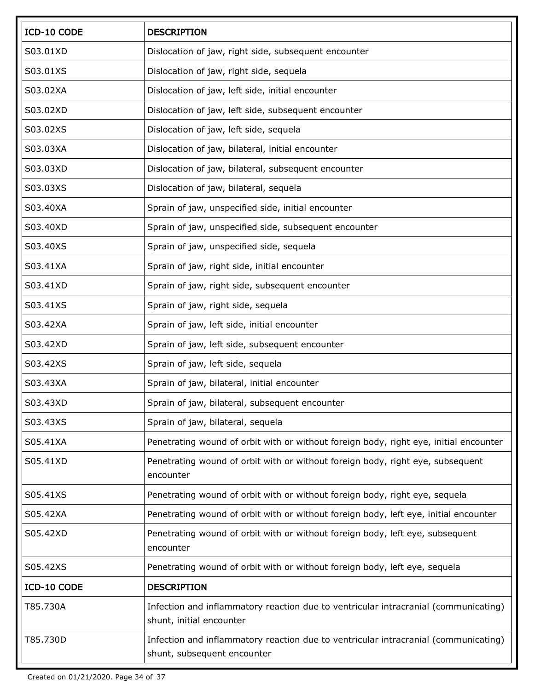| ICD-10 CODE | <b>DESCRIPTION</b>                                                                                                 |
|-------------|--------------------------------------------------------------------------------------------------------------------|
| S03.01XD    | Dislocation of jaw, right side, subsequent encounter                                                               |
| S03.01XS    | Dislocation of jaw, right side, sequela                                                                            |
| S03.02XA    | Dislocation of jaw, left side, initial encounter                                                                   |
| S03.02XD    | Dislocation of jaw, left side, subsequent encounter                                                                |
| S03.02XS    | Dislocation of jaw, left side, sequela                                                                             |
| S03.03XA    | Dislocation of jaw, bilateral, initial encounter                                                                   |
| S03.03XD    | Dislocation of jaw, bilateral, subsequent encounter                                                                |
| S03.03XS    | Dislocation of jaw, bilateral, sequela                                                                             |
| S03.40XA    | Sprain of jaw, unspecified side, initial encounter                                                                 |
| S03.40XD    | Sprain of jaw, unspecified side, subsequent encounter                                                              |
| S03.40XS    | Sprain of jaw, unspecified side, sequela                                                                           |
| S03.41XA    | Sprain of jaw, right side, initial encounter                                                                       |
| S03.41XD    | Sprain of jaw, right side, subsequent encounter                                                                    |
| S03.41XS    | Sprain of jaw, right side, sequela                                                                                 |
| S03.42XA    | Sprain of jaw, left side, initial encounter                                                                        |
| S03.42XD    | Sprain of jaw, left side, subsequent encounter                                                                     |
| S03.42XS    | Sprain of jaw, left side, sequela                                                                                  |
| S03.43XA    | Sprain of jaw, bilateral, initial encounter                                                                        |
| S03.43XD    | Sprain of jaw, bilateral, subsequent encounter                                                                     |
| S03.43XS    | Sprain of jaw, bilateral, sequela                                                                                  |
| S05.41XA    | Penetrating wound of orbit with or without foreign body, right eye, initial encounter                              |
| S05.41XD    | Penetrating wound of orbit with or without foreign body, right eye, subsequent<br>encounter                        |
| S05.41XS    | Penetrating wound of orbit with or without foreign body, right eye, sequela                                        |
| S05.42XA    | Penetrating wound of orbit with or without foreign body, left eye, initial encounter                               |
| S05.42XD    | Penetrating wound of orbit with or without foreign body, left eye, subsequent<br>encounter                         |
| S05.42XS    | Penetrating wound of orbit with or without foreign body, left eye, sequela                                         |
| ICD-10 CODE | <b>DESCRIPTION</b>                                                                                                 |
| T85.730A    | Infection and inflammatory reaction due to ventricular intracranial (communicating)<br>shunt, initial encounter    |
| T85.730D    | Infection and inflammatory reaction due to ventricular intracranial (communicating)<br>shunt, subsequent encounter |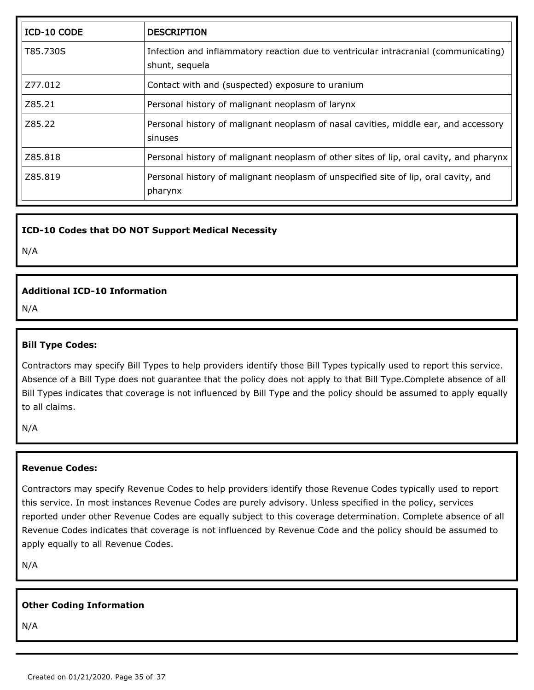| ICD-10 CODE | <b>DESCRIPTION</b>                                                                                    |
|-------------|-------------------------------------------------------------------------------------------------------|
| T85.730S    | Infection and inflammatory reaction due to ventricular intracranial (communicating)<br>shunt, sequela |
| Z77.012     | Contact with and (suspected) exposure to uranium                                                      |
| Z85.21      | Personal history of malignant neoplasm of larynx                                                      |
| Z85.22      | Personal history of malignant neoplasm of nasal cavities, middle ear, and accessory<br>sinuses        |
| Z85.818     | Personal history of malignant neoplasm of other sites of lip, oral cavity, and pharynx                |
| Z85.819     | Personal history of malignant neoplasm of unspecified site of lip, oral cavity, and<br>pharynx        |

#### **ICD-10 Codes that DO NOT Support Medical Necessity**

N/A

#### **Additional ICD-10 Information**

N/A

#### **Bill Type Codes:**

Contractors may specify Bill Types to help providers identify those Bill Types typically used to report this service. Absence of a Bill Type does not guarantee that the policy does not apply to that Bill Type.Complete absence of all Bill Types indicates that coverage is not influenced by Bill Type and the policy should be assumed to apply equally to all claims.

N/A

#### **Revenue Codes:**

Contractors may specify Revenue Codes to help providers identify those Revenue Codes typically used to report this service. In most instances Revenue Codes are purely advisory. Unless specified in the policy, services reported under other Revenue Codes are equally subject to this coverage determination. Complete absence of all Revenue Codes indicates that coverage is not influenced by Revenue Code and the policy should be assumed to apply equally to all Revenue Codes.

N/A

#### **Other Coding Information**

N/A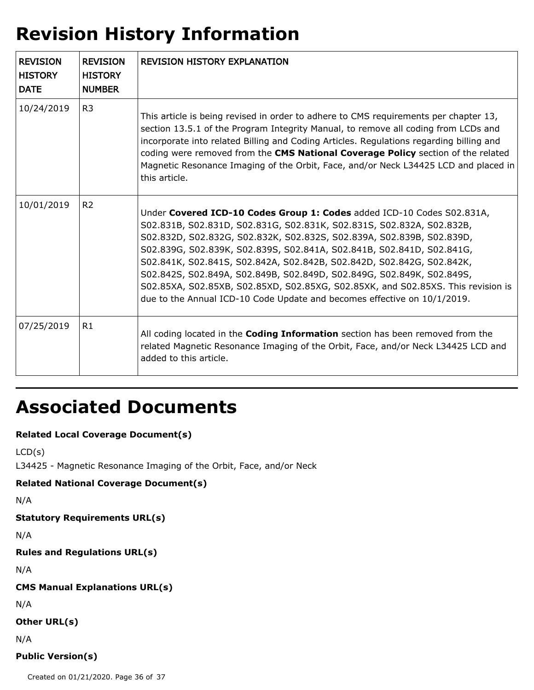## **Revision History Information**

| <b>REVISION</b><br><b>HISTORY</b><br><b>DATE</b> | <b>REVISION</b><br><b>HISTORY</b><br><b>NUMBER</b> | <b>REVISION HISTORY EXPLANATION</b>                                                                                                                                                                                                                                                                                                                                                                                                                                                                                                                                                                                 |
|--------------------------------------------------|----------------------------------------------------|---------------------------------------------------------------------------------------------------------------------------------------------------------------------------------------------------------------------------------------------------------------------------------------------------------------------------------------------------------------------------------------------------------------------------------------------------------------------------------------------------------------------------------------------------------------------------------------------------------------------|
| 10/24/2019                                       | R <sub>3</sub>                                     | This article is being revised in order to adhere to CMS requirements per chapter 13,<br>section 13.5.1 of the Program Integrity Manual, to remove all coding from LCDs and<br>incorporate into related Billing and Coding Articles. Regulations regarding billing and<br>coding were removed from the CMS National Coverage Policy section of the related<br>Magnetic Resonance Imaging of the Orbit, Face, and/or Neck L34425 LCD and placed in<br>this article.                                                                                                                                                   |
| 10/01/2019                                       | R <sub>2</sub>                                     | Under Covered ICD-10 Codes Group 1: Codes added ICD-10 Codes S02.831A,<br>S02.831B, S02.831D, S02.831G, S02.831K, S02.831S, S02.832A, S02.832B,<br>S02.832D, S02.832G, S02.832K, S02.832S, S02.839A, S02.839B, S02.839D,<br>S02.839G, S02.839K, S02.839S, S02.841A, S02.841B, S02.841D, S02.841G,<br>S02.841K, S02.841S, S02.842A, S02.842B, S02.842D, S02.842G, S02.842K,<br>S02.842S, S02.849A, S02.849B, S02.849D, S02.849G, S02.849K, S02.849S,<br>S02.85XA, S02.85XB, S02.85XD, S02.85XG, S02.85XK, and S02.85XS. This revision is<br>due to the Annual ICD-10 Code Update and becomes effective on 10/1/2019. |
| 07/25/2019                                       | R1                                                 | All coding located in the <b>Coding Information</b> section has been removed from the<br>related Magnetic Resonance Imaging of the Orbit, Face, and/or Neck L34425 LCD and<br>added to this article.                                                                                                                                                                                                                                                                                                                                                                                                                |

## **Associated Documents**

### **Related Local Coverage Document(s)**

```
LCD(s)
```
L34425 - Magnetic Resonance Imaging of the Orbit, Face, and/or Neck

#### **Related National Coverage Document(s)**

```
N/A
```
#### **Statutory Requirements URL(s)**

N/A

#### **Rules and Regulations URL(s)**

N/A

#### **CMS Manual Explanations URL(s)**

N/A

#### **Other URL(s)**

N/A

#### **Public Version(s)**

Created on 01/21/2020. Page 36 of 37